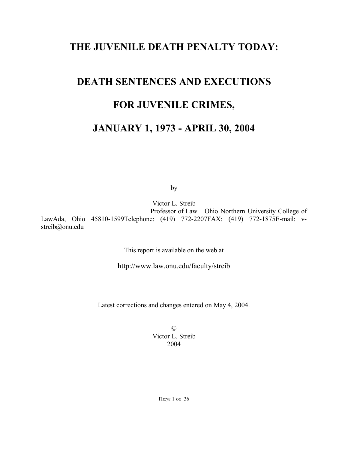# **THE JUVENILE DEATH PENALTY TODAY:**

# **DEATH SENTENCES AND EXECUTIONS FOR JUVENILE CRIMES,**

# **JANUARY 1, 1973 - APRIL 30, 2004**

by

Victor L. Streib Professor of Law Ohio Northern University College of LawAda, Ohio 45810-1599Telephone: (419) 772-2207FAX: (419) 772-1875E-mail: vstreib@onu.edu

This report is available on the web at

http://www.law.onu.edu/faculty/streib

Latest corrections and changes entered on May 4, 2004.

© Victor L. Streib 2004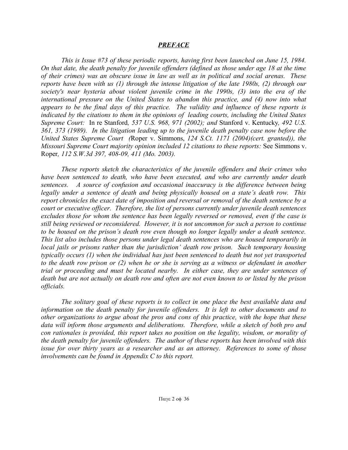## *PREFACE*

*This is Issue #73 of these periodic reports, having first been launched on June 15, 1984. On that date, the death penalty for juvenile offenders (defined as those under age 18 at the time of their crimes) was an obscure issue in law as well as in political and social arenas. These reports have been with us (1) through the intense litigation of the late 1980s, (2) through our society's near hysteria about violent juvenile crime in the 1990s, (3) into the era of the international pressure on the United States to abandon this practice, and (4) now into what appears to be the final days of this practice. The validity and influence of these reports is indicated by the citations to them in the opinions of leading courts, including the United States Supreme Court:* In re Stanford*, 537 U.S. 968, 971 (2002); and* Stanford v. Kentucky*, 492 U.S. 361, 373 (1989). In the litigation leading up to the juvenile death penalty case now before the United States Supreme Court (*Roper v. Simmons, *124 S.Ct. 1171 (2004)(cert. granted)), the Missouri Supreme Court majority opinion included 12 citations to these reports:* See Simmons v. Roper*, 112 S.W.3d 397, 408-09, 411 (Mo. 2003).*

*These reports sketch the characteristics of the juvenile offenders and their crimes who have been sentenced to death, who have been executed, and who are currently under death sentences. A source of confusion and occasional inaccuracy is the difference between being legally under a sentence of death and being physically housed on a state's death row. This report chronicles the exact date of imposition and reversal or removal of the death sentence by a court or executive officer. Therefore, the list of persons currently under juvenile death sentences excludes those for whom the sentence has been legally reversed or removed, even if the case is still being reviewed or reconsidered. However, it is not uncommon for such a person to continue to be housed on the prison's death row even though no longer legally under a death sentence. This list also includes those persons under legal death sentences who are housed temporarily in local jails or prisons rather than the jurisdiction' death row prison. Such temporary housing typically occurs (1) when the individual has just been sentenced to death but not yet transported* to the death row prison or  $(2)$  when he or she is serving as a witness or defendant in another *trial or proceeding and must be located nearby. In either case, they are under sentences of* death but are not actually on death row and often are not even known to or listed by the prison *officials.*

*The solitary goal of these reports is to collect in one place the best available data and information on the death penalty for juvenile offenders. It is left to other documents and to other organizations to argue about the pros and cons of this practice, with the hope that these data will inform those arguments and deliberations. Therefore, while a sketch of both pro and con rationales is provided, this report takes no position on the legality, wisdom, or morality of the death penalty for juvenile offenders. The author of these reports has been involved with this issue for over thirty years as a researcher and as an attorney. References to some of those involvements can be found in Appendix C to this report.*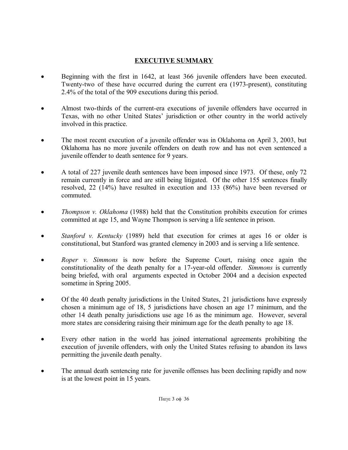# **EXECUTIVE SUMMARY**

- Beginning with the first in 1642, at least 366 juvenile offenders have been executed. Twenty-two of these have occurred during the current era (1973-present), constituting 2.4% of the total of the 909 executions during this period.
- Almost two-thirds of the current-era executions of juvenile offenders have occurred in Texas, with no other United States' jurisdiction or other country in the world actively involved in this practice.
- The most recent execution of a juvenile offender was in Oklahoma on April 3, 2003, but Oklahoma has no more juvenile offenders on death row and has not even sentenced a juvenile offender to death sentence for 9 years.
- A total of 227 juvenile death sentences have been imposed since 1973. Of these, only 72 remain currently in force and are still being litigated. Of the other 155 sentences finally resolved, 22 (14%) have resulted in execution and 133 (86%) have been reversed or commuted.
- *Thompson v. Oklahoma* (1988) held that the Constitution prohibits execution for crimes committed at age 15, and Wayne Thompson is serving a life sentence in prison.
- *Stanford v. Kentucky* (1989) held that execution for crimes at ages 16 or older is constitutional, but Stanford was granted clemency in 2003 and is serving a life sentence.
- *Roper v. Simmons* is now before the Supreme Court, raising once again the constitutionality of the death penalty for a 17-year-old offender. *Simmons* is currently being briefed, with oral arguments expected in October 2004 and a decision expected sometime in Spring 2005.
- Of the 40 death penalty jurisdictions in the United States, 21 jurisdictions have expressly chosen a minimum age of 18, 5 jurisdictions have chosen an age 17 minimum, and the other 14 death penalty jurisdictions use age 16 as the minimum age. However, several more states are considering raising their minimum age for the death penalty to age 18.
- Every other nation in the world has joined international agreements prohibiting the execution of juvenile offenders, with only the United States refusing to abandon its laws permitting the juvenile death penalty.
- The annual death sentencing rate for juvenile offenses has been declining rapidly and now is at the lowest point in 15 years.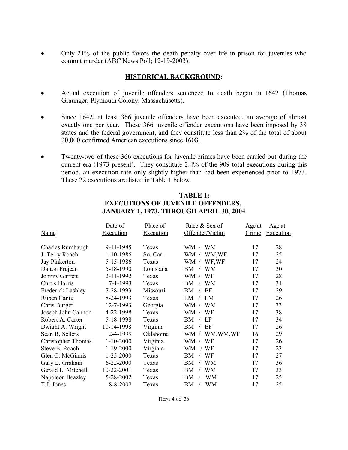Only 21% of the public favors the death penalty over life in prison for juveniles who commit murder (ABC News Poll; 12-19-2003).

## **HISTORICAL BACKGROUND:**

- Actual execution of juvenile offenders sentenced to death began in 1642 (Thomas Graunger, Plymouth Colony, Massachusetts).
- Since 1642, at least 366 juvenile offenders have been executed, an average of almost exactly one per year. These 366 juvenile offender executions have been imposed by 38 states and the federal government, and they constitute less than 2% of the total of about 20,000 confirmed American executions since 1608.
- Twenty-two of these 366 executions for juvenile crimes have been carried out during the current era (1973-present). They constitute 2.4% of the 909 total executions during this period, an execution rate only slightly higher than had been experienced prior to 1973. These 22 executions are listed in Table 1 below.

| <b>Name</b>               | Date of<br><b>Execution</b> | Place of<br><b>Execution</b> | Race & Sex of<br>Offender/Victim | Age at<br>Crime | Age at<br>Execution |
|---------------------------|-----------------------------|------------------------------|----------------------------------|-----------------|---------------------|
| Charles Rumbaugh          | 9-11-1985                   | Texas                        | <b>WM</b><br>WM /                | 17              | 28                  |
| J. Terry Roach            | 1-10-1986                   | So. Car.                     | WM,WF<br>WM /                    | 17              | 25                  |
| Jay Pinkerton             | 5-15-1986                   | Texas                        | WF,WF<br>WM /                    | 17              | 24                  |
| Dalton Prejean            | 5-18-1990                   | Louisiana                    | <b>WM</b><br>ВM                  | 17              | 30                  |
| Johnny Garrett            | 2-11-1992                   | Texas                        | WM /<br>WF                       | 17              | 28                  |
| Curtis Harris             | 7-1-1993                    | Texas                        | WM<br>BМ                         | 17              | 31                  |
| <b>Frederick Lashley</b>  | 7-28-1993                   | Missouri                     | BМ<br>BF                         | 17              | 29                  |
| Ruben Cantu               | 8-24-1993                   | Texas                        | LM<br>LM                         | 17              | 26                  |
| Chris Burger              | 12-7-1993                   | Georgia                      | WM<br>WM /                       | 17              | 33                  |
| Joseph John Cannon        | 4-22-1998                   | Texas                        | WM /<br>WF                       | 17              | 38                  |
| Robert A. Carter          | 5-18-1998                   | Texas                        | LF<br>ВM                         | 17              | 34                  |
| Dwight A. Wright          | 10-14-1998                  | Virginia                     | BF<br>ΒM                         | 17              | 26                  |
| Sean R. Sellers           | 2-4-1999                    | Oklahoma                     | WM, WM, WF<br>WM /               | 16              | 29                  |
| <b>Christopher Thomas</b> | $1 - 10 - 2000$             | Virginia                     | WF<br>WM /                       | 17              | 26                  |
| Steve E. Roach            | $1-19-2000$                 | Virginia                     | WM<br>WF                         | 17              | 23                  |
| Glen C. McGinnis          | $1 - 25 - 2000$             | Texas                        | WF<br>BМ                         | 17              | 27                  |
| Gary L. Graham            | $6 - 22 - 2000$             | Texas                        | WM<br>BМ                         | 17              | 36                  |
| Gerald L. Mitchell        | 10-22-2001                  | Texas                        | WM<br>BМ                         | 17              | 33                  |
| Napoleon Beazley          | 5-28-2002                   | Texas                        | WM<br>BМ                         | 17              | 25                  |
| T.J. Jones                | 8-8-2002                    | Texas                        | <b>WM</b><br>BМ                  | 17              | 25                  |

## **TABLE 1: EXECUTIONS OF JUVENILE OFFENDERS, JANUARY 1, 1973, THROUGH APRIL 30, 2004**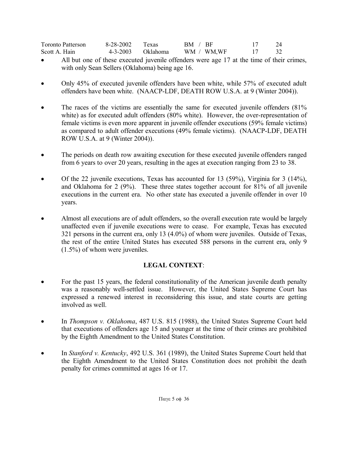| <b>Toronto Patterson</b> | 8-28-2002 Texas |                   | BM / BF    | 24 |
|--------------------------|-----------------|-------------------|------------|----|
| Scott A. Hain            |                 | 4-3-2003 Oklahoma | WM / WM,WF | 32 |

- All but one of these executed juvenile offenders were age 17 at the time of their crimes, with only Sean Sellers (Oklahoma) being age 16.
- Only 45% of executed juvenile offenders have been white, while 57% of executed adult offenders have been white. (NAACP-LDF, DEATH ROW U.S.A. at 9 (Winter 2004)).
- The races of the victims are essentially the same for executed juvenile offenders (81%) white) as for executed adult offenders (80% white). However, the over-representation of female victims is even more apparent in juvenile offender executions (59% female victims) as compared to adult offender executions (49% female victims). (NAACP-LDF, DEATH ROW U.S.A. at 9 (Winter 2004)).
- The periods on death row awaiting execution for these executed juvenile offenders ranged from 6 years to over 20 years, resulting in the ages at execution ranging from 23 to 38.
- $\bullet$  Of the 22 juvenile executions, Texas has accounted for 13 (59%), Virginia for 3 (14%), and Oklahoma for 2 (9%). These three states together account for 81% of all juvenile executions in the current era. No other state has executed a juvenile offender in over 10 years.
- Almost all executions are of adult offenders, so the overall execution rate would be largely unaffected even if juvenile executions were to cease. For example, Texas has executed 321 persons in the current era, only 13 (4.0%) of whom were juveniles. Outside of Texas, the rest of the entire United States has executed 588 persons in the current era, only 9 (1.5%) of whom were juveniles.

# **LEGAL CONTEXT**:

- For the past 15 years, the federal constitutionality of the American juvenile death penalty was a reasonably well-settled issue. However, the United States Supreme Court has expressed a renewed interest in reconsidering this issue, and state courts are getting involved as well.
- In *Thompson v. Oklahoma*, 487 U.S. 815 (1988), the United States Supreme Court held that executions of offenders age 15 and younger at the time of their crimes are prohibited by the Eighth Amendment to the United States Constitution.
- In *Stanford v. Kentucky*, 492 U.S. 361 (1989), the United States Supreme Court held that the Eighth Amendment to the United States Constitution does not prohibit the death penalty for crimes committed at ages 16 or 17.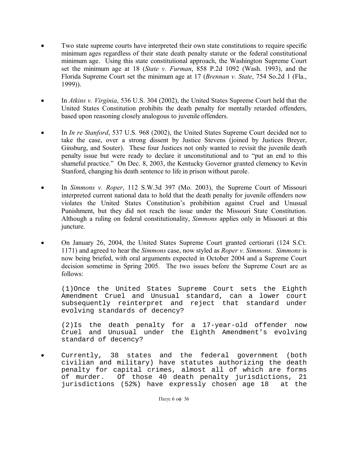- Two state supreme courts have interpreted their own state constitutions to require specific minimum ages regardless of their state death penalty statute or the federal constitutional minimum age. Using this state constitutional approach, the Washington Supreme Court set the minimum age at 18 (*State v. Furman*, 858 P.2d 1092 (Wash. 1993), and the Florida Supreme Court set the minimum age at 17 (*Brennan v. State*, 754 So.2d 1 (Fla., 1999)).
- In *Atkins v. Virginia*, 536 U.S. 304 (2002), the United States Supreme Court held that the United States Constitution prohibits the death penalty for mentally retarded offenders, based upon reasoning closely analogous to juvenile offenders.
- In *In re Stanford*, 537 U.S. 968 (2002), the United States Supreme Court decided not to take the case, over a strong dissent by Justice Stevens (joined by Justices Breyer, Ginsburg, and Souter). These four Justices not only wanted to revisit the juvenile death penalty issue but were ready to declare it unconstitutional and to "put an end to this shameful practice." On Dec. 8, 2003, the Kentucky Governor granted clemency to Kevin Stanford, changing his death sentence to life in prison without parole.
- In *Simmons v. Roper*, 112 S.W.3d 397 (Mo. 2003), the Supreme Court of Missouri interpreted current national data to hold that the death penalty for juvenile offenders now violates the United States Constitution's prohibition against Cruel and Unusual Punishment, but they did not reach the issue under the Missouri State Constitution. Although a ruling on federal constitutionality, *Simmons* applies only in Missouri at this juncture.
- On January 26, 2004, the United States Supreme Court granted certiorari (124 S.Ct. 1171) and agreed to hear the *Simmons* case, now styled as *Roper v. Simmons*. *Simmons* is now being briefed, with oral arguments expected in October 2004 and a Supreme Court decision sometime in Spring 2005. The two issues before the Supreme Court are as follows:

(1)Once the United States Supreme Court sets the Eighth Amendment Cruel and Unusual standard, can a lower court subsequently reinterpret and reject that standard under evolving standards of decency?

(2)Is the death penalty for a 17-year-old offender now Cruel and Unusual under the Eighth Amendment's evolving standard of decency?

 Currently, 38 states and the federal government (both civilian and military) have statutes authorizing the death penalty for capital crimes, almost all of which are forms of murder. Of those 40 death penalty jurisdictions, 21 jurisdictions (52%) have expressly chosen age 18 at the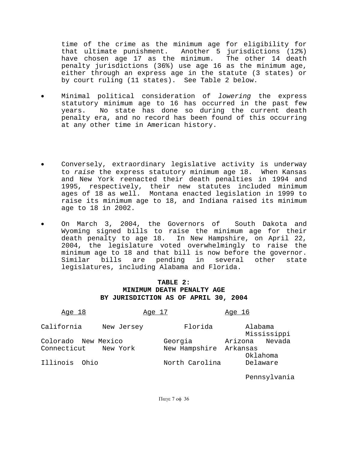time of the crime as the minimum age for eligibility for that ultimate punishment. Another 5 jurisdictions (12%) have chosen age 17 as the minimum. The other 14 death penalty jurisdictions (36%) use age 16 as the minimum age, either through an express age in the statute (3 states) or by court ruling (11 states). See Table 2 below.

- Minimal political consideration of lowering the express statutory minimum age to 16 has occurred in the past few years. No state has done so during the current death penalty era, and no record has been found of this occurring at any other time in American history.
- Conversely, extraordinary legislative activity is underway to raise the express statutory minimum age 18. When Kansas and New York reenacted their death penalties in 1994 and 1995, respectively, their new statutes included minimum ages of 18 as well. Montana enacted legislation in 1999 to raise its minimum age to 18, and Indiana raised its minimum age to 18 in 2002.
- On March 3, 2004, the Governors of South Dakota and Wyoming signed bills to raise the minimum age for their death penalty to age 18. In New Hampshire, on April 22, 2004, the legislature voted overwhelmingly to raise the minimum age to 18 and that bill is now before the governor. Similar bills are pending in several other state legislatures, including Alabama and Florida.

## **TABLE 2: MINIMUM DEATH PENALTY AGE BY JURISDICTION AS OF APRIL 30, 2004**

| <u>Age 18</u>            | Age 17                 | Age 16                 |  |  |
|--------------------------|------------------------|------------------------|--|--|
| California<br>New Jersey | Florida                | Alabama<br>Mississippi |  |  |
| Colorado New Mexico      | Georgia                | Nevada<br>Arizona      |  |  |
| Connecticut New York     | New Hampshire Arkansas |                        |  |  |
|                          |                        | Oklahoma               |  |  |
| Illinois<br>Ohio         | North Carolina         | Delaware               |  |  |

Pennsylvania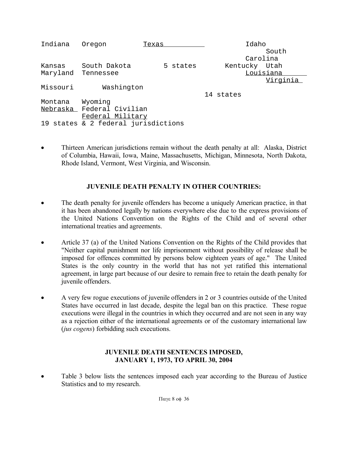| Indiana  | Oregon                              | Texas    | Idaho         |           |
|----------|-------------------------------------|----------|---------------|-----------|
|          |                                     |          |               | South     |
|          |                                     |          |               | Carolina  |
| Kansas   | South Dakota                        | 5 states | Kentucky Utah |           |
| Maryland | Tennessee                           |          |               | Louisiana |
|          |                                     |          |               | Virginia  |
| Missouri | Washington                          |          |               |           |
|          |                                     |          | 14 states     |           |
| Montana  | Wyoming                             |          |               |           |
|          | Nebraska Federal Civilian           |          |               |           |
|          | Federal Military                    |          |               |           |
|          | 19 states & 2 federal jurisdictions |          |               |           |

 Thirteen American jurisdictions remain without the death penalty at all: Alaska, District of Columbia, Hawaii, Iowa, Maine, Massachusetts, Michigan, Minnesota, North Dakota, Rhode Island, Vermont, West Virginia, and Wisconsin.

# **JUVENILE DEATH PENALTY IN OTHER COUNTRIES:**

- The death penalty for juvenile offenders has become a uniquely American practice, in that it has been abandoned legally by nations everywhere else due to the express provisions of the United Nations Convention on the Rights of the Child and of several other international treaties and agreements.
- Article 37 (a) of the United Nations Convention on the Rights of the Child provides that "Neither capital punishment nor life imprisonment without possibility of release shall be imposed for offences committed by persons below eighteen years of age." The United States is the only country in the world that has not yet ratified this international agreement, in large part because of our desire to remain free to retain the death penalty for juvenile offenders.
- A very few rogue executions of juvenile offenders in 2 or 3 countries outside of the United States have occurred in last decade, despite the legal ban on this practice. These rogue executions were illegal in the countries in which they occurred and are not seen in any way as a rejection either of the international agreements or of the customary international law (*jus cogens*) forbidding such executions.

## **JUVENILE DEATH SENTENCES IMPOSED, JANUARY 1, 1973, TO APRIL 30, 2004**

 Table 3 below lists the sentences imposed each year according to the Bureau of Justice Statistics and to my research.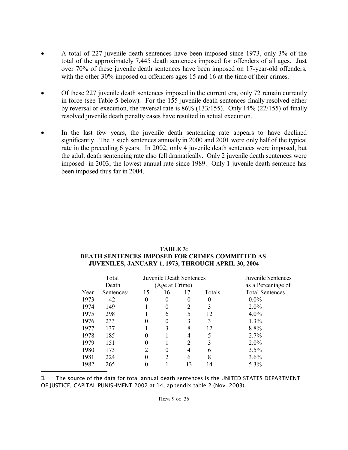- A total of 227 juvenile death sentences have been imposed since 1973, only 3% of the total of the approximately 7,445 death sentences imposed for offenders of all ages. Just over 70% of these juvenile death sentences have been imposed on 17-year-old offenders, with the other 30% imposed on offenders ages 15 and 16 at the time of their crimes.
- Of these 227 juvenile death sentences imposed in the current era, only 72 remain currently in force (see Table 5 below). For the 155 juvenile death sentences finally resolved either by reversal or execution, the reversal rate is 86% (133/155). Only 14% (22/155) of finally resolved juvenile death penalty cases have resulted in actual execution.
- In the last few years, the juvenile death sentencing rate appears to have declined significantly. The 7 such sentences annually in 2000 and 2001 were only half of the typical rate in the preceding 6 years. In 2002, only 4 juvenile death sentences were imposed, but the adult death sentencing rate also fell dramatically. Only 2 juvenile death sentences were imposed in 2003, the lowest annual rate since 1989. Only 1 juvenile death sentence has been imposed thus far in 2004.

| TABLE 3:                                           |  |  |  |  |  |  |  |  |
|----------------------------------------------------|--|--|--|--|--|--|--|--|
| DEATH SENTENCES IMPOSED FOR CRIMES COMMITTED AS    |  |  |  |  |  |  |  |  |
| JUVENILES, JANUARY 1, 1973, THROUGH APRIL 30, 2004 |  |  |  |  |  |  |  |  |

|      | Total                  |            |                | Juvenile Death Sentences |               | Juvenile Sentences     |
|------|------------------------|------------|----------------|--------------------------|---------------|------------------------|
|      | Death                  |            | (Age at Crime) |                          |               | as a Percentage of     |
| Year | Sentences <sup>1</sup> | <u> 15</u> | <u> 16</u>     | 17                       | <b>Totals</b> | <b>Total Sentences</b> |
| 1973 | 42                     | $\Omega$   | $\Omega$       | $\theta$                 | 0             | $0.0\%$                |
| 1974 | 149                    |            | $\theta$       | $\overline{2}$           | 3             | 2.0%                   |
| 1975 | 298                    |            | 6              | 5                        | 12            | $4.0\%$                |
| 1976 | 233                    | 0          |                | 3                        | 3             | 1.3%                   |
| 1977 | 137                    |            |                | 8                        | 12            | 8.8%                   |
| 1978 | 185                    | 0          |                | 4                        |               | 2.7%                   |
| 1979 | 151                    | $\theta$   |                | $\overline{2}$           | 3             | 2.0%                   |
| 1980 | 173                    |            | 0              | 4                        | 6             | 3.5%                   |
| 1981 | 224                    | $\theta$   |                | 6                        | 8             | 3.6%                   |
| 1982 | 265                    |            |                | 13                       | 14            | 5.3%                   |

1 The source of the data for total annual death sentences is the UNITED STATES DEPARTMENT OF JUSTICE, CAPITAL PUNISHMENT 2002 at 14, appendix table 2 (Nov. 2003).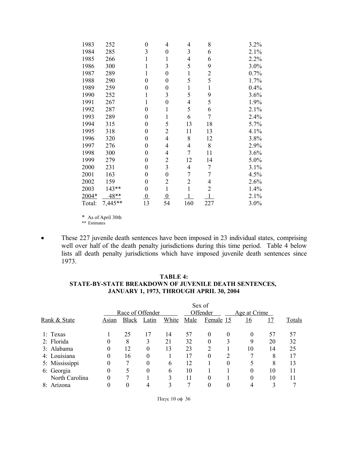| 1983   | 252     | 0              | 4              | 4              | 8              | 3.2% |
|--------|---------|----------------|----------------|----------------|----------------|------|
| 1984   | 285     | 3              | $\theta$       | 3              | 6              | 2.1% |
| 1985   | 266     |                | 1              | 4              | 6              | 2.2% |
| 1986   | 300     |                | 3              | 5              | 9              | 3.0% |
| 1987   | 289     | 1              | 0              | $\mathbf 1$    | $\overline{c}$ | 0.7% |
| 1988   | 290     | $\theta$       | $\theta$       | 5              | 5              | 1.7% |
| 1989   | 259     | $\theta$       | $\theta$       | $\mathbf{1}$   | 1              | 0.4% |
| 1990   | 252     |                | 3              | 5              | 9              | 3.6% |
| 1991   | 267     | 1              | 0              | 4              | 5              | 1.9% |
| 1992   | 287     | $\theta$       | 1              | 5              | 6              | 2.1% |
| 1993   | 289     | 0              |                | 6              | 7              | 2.4% |
| 1994   | 315     | 0              | 5              | 13             | 18             | 5.7% |
| 1995   | 318     | 0              | 2              | 11             | 13             | 4.1% |
| 1996   | 320     | $\theta$       | 4              | 8              | 12             | 3.8% |
| 1997   | 276     | 0              | 4              | 4              | 8              | 2.9% |
| 1998   | 300     | 0              | 4              | 7              | 11             | 3.6% |
| 1999   | 279     | $\theta$       | 2              | 12             | 14             | 5.0% |
| 2000   | 231     | $\theta$       | 3              | 4              | 7              | 3.1% |
| 2001   | 163     | 0              | $\theta$       | 7              | 7              | 4.5% |
| 2002   | 159     | $\theta$       | 2              | $\overline{2}$ | 4              | 2.6% |
| 2003   | 143**   | $\theta$       | 1              | 1              | $\overline{2}$ | 1.4% |
| 2004*  | 48**    | $\overline{0}$ | $\overline{0}$ |                |                | 2.1% |
| Total: | 7,445** | 13             | 54             | 160            | 227            | 3.0% |

\* As of April 30th

- \*\* Estimates
- These 227 juvenile death sentences have been imposed in 23 individual states, comprising well over half of the death penalty jurisdictions during this time period. Table 4 below lists all death penalty jurisdictions which have imposed juvenile death sentences since 1973.

### **TABLE 4: STATE-BY-STATE BREAKDOWN OF JUVENILE DEATH SENTENCES, JANUARY 1, 1973, THROUGH APRIL 30, 2004**

|                         |       | Sex of           |       |          |      |           |              |          |    |        |  |
|-------------------------|-------|------------------|-------|----------|------|-----------|--------------|----------|----|--------|--|
|                         |       | Race of Offender |       | Offender |      |           | Age at Crime |          |    |        |  |
| <b>Rank &amp; State</b> | Asıan | <b>Black</b>     | Latin | White    | Male | Female 15 |              | 16       | 17 | Totals |  |
| 1: Texas                |       | 25               | 17    | 14       | 57   | $\theta$  | $\theta$     | 0        | 57 | 57     |  |
| 2: Florida              |       | 8                | 3     | 21       | 32   | $\theta$  |              | 9        | 20 | 32     |  |
| 3: Alabama              |       | 12               | 0     | 13       | 23   | 2         |              | 10       | 14 | 25     |  |
| 4: Louisiana            |       | 16               | 0     |          | 17   | 0         | C            |          | 8  | 17     |  |
| 5: Mississippi          |       | 7                | 0     | 6        | 12   |           | 0            |          | 8  | 13     |  |
| 6: Georgia              |       | 5                | 0     | 6        | 10   |           |              | $\theta$ | 10 | 11     |  |
| North Carolina          |       | 7                |       |          | 11   | 0         |              | 0        | 10 | 11     |  |
| 8: Arizona              |       | 0                |       |          |      |           |              |          |    |        |  |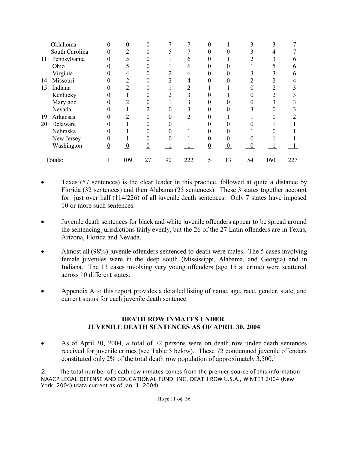| Oklahoma         |   | 0                |    |    |     | 0 |              |    |     |     |
|------------------|---|------------------|----|----|-----|---|--------------|----|-----|-----|
| South Carolina   |   | 2                |    |    |     |   |              |    |     |     |
| 11: Pennsylvania |   |                  |    |    | h   |   |              |    |     |     |
| Ohio             |   |                  |    |    | h   |   |              |    |     |     |
| Virginia         |   | 4                |    |    | h   |   |              |    |     |     |
| 14: Missouri     |   | 2                |    |    |     |   |              |    |     |     |
| 15: Indiana      |   | $\mathfrak{D}$   |    |    |     |   |              |    |     |     |
| Kentucky         |   |                  |    |    |     |   |              |    | ◠   |     |
| Maryland         |   | າ                |    |    |     |   |              |    |     |     |
| Nevada           |   |                  |    |    |     |   |              |    |     |     |
| 19: Arkansas     |   | 2                |    |    |     |   |              |    |     |     |
| 20: Delaware     |   |                  |    |    |     |   |              |    |     |     |
| Nebraska         |   |                  |    |    |     |   |              |    |     |     |
| New Jersey       |   |                  |    |    |     |   |              |    |     |     |
| Washington       | 0 | $\boldsymbol{0}$ | 0  |    |     |   | $\mathbf{0}$ |    |     |     |
| Totals:          |   | 109              | 27 | 90 | 222 | 5 | 13           | 54 | 160 | 227 |

- Texas (57 sentences) is the clear leader in this practice, followed at quite a distance by Florida (32 sentences) and then Alabama (25 sentences). These 3 states together account for just over half (114/226) of all juvenile death sentences. Only 7 states have imposed 10 or more such sentences.
- Juvenile death sentences for black and white juvenile offenders appear to be spread around the sentencing jurisdictions fairly evenly, but the 26 of the 27 Latin offenders are in Texas, Arizona, Florida and Nevada.
- Almost all (98%) juvenile offenders sentenced to death were males. The 5 cases involving female juveniles were in the deep south (Mississippi, Alabama, and Georgia) and in Indiana. The 13 cases involving very young offenders (age 15 at crime) were scattered across 10 different states.
- Appendix A to this report provides a detailed listing of name, age, race, gender, state, and current status for each juvenile death sentence.

## **DEATH ROW INMATES UNDER JUVENILE DEATH SENTENCES AS OF APRIL 30, 2004**

 As of April 30, 2004, a total of 72 persons were on death row under death sentences received for juvenile crimes (see Table 5 below). These 72 condemned juvenile offenders constituted only 2% of the total death row population of approximately 3,500. 2

<sup>2</sup> The total number of death row inmates comes from the premier source of this information: NAACP LEGAL DEFENSE AND EDUCATIONAL FUND, INC, DEATH ROW U.S.A., WINTER 2004 (New York: 2004) (data current as of Jan. 1, 2004).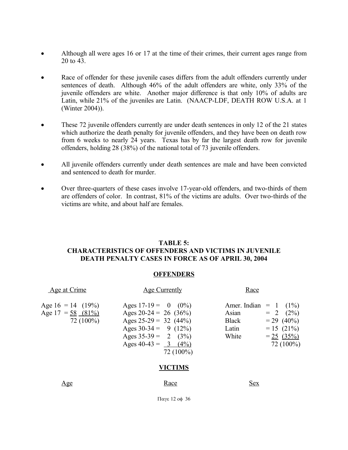- Although all were ages 16 or 17 at the time of their crimes, their current ages range from 20 to 43.
- Race of offender for these juvenile cases differs from the adult offenders currently under sentences of death. Although 46% of the adult offenders are white, only 33% of the juvenile offenders are white. Another major difference is that only 10% of adults are Latin, while 21% of the juveniles are Latin. (NAACP-LDF, DEATH ROW U.S.A. at 1 (Winter 2004)).
- These 72 juven ile offenders currently are under death sentences in only 12 of the 21 states which authorize the death penalty for juvenile offenders, and they have been on death row from 6 weeks to nearly 24 years. Texas has by far the largest death row for juvenile offenders, holding 28 (38%) of the national total of 73 juvenile offenders.
- All juvenile offenders currently under death sentences are male and have been convicted and sentenced to death for murder.
- Over three-quarters of these cases involve 17-year-old offenders, and two-thirds of them are offenders of color. In contrast, 81% of the victims are adults. Over two-thirds of the victims are white, and about half are females.

## **TABLE 5: CHARACTERISTICS OF OFFENDERS AND VICTIMS IN JUVENILE DEATH PENALTY CASES IN FORCE AS OF APRIL 30, 2004**

## **OFFENDERS**

| Age at Crime                                               | Age Currently                                                                                                                                                             | Race                                                                                                                                                |
|------------------------------------------------------------|---------------------------------------------------------------------------------------------------------------------------------------------------------------------------|-----------------------------------------------------------------------------------------------------------------------------------------------------|
| Age $16 = 14$ (19%)<br>Age $17 = 58 (81\%)$<br>$72(100\%)$ | Ages $17-19 = 0$ (0%)<br>Ages $20-24 = 26$ (36%)<br>Ages $25-29 = 32$ (44%)<br>Ages $30-34 = 9$ (12%)<br>Ages $35-39 = 2$ (3%)<br>Ages $40-43 = 3$ $(4\%)$<br>$72(100\%)$ | Amer. Indian = $1 \quad (1\%)$<br>$= 2 (2\%)$<br>Asian<br>$= 29 (40\%)$<br>Black<br>$= 15 (21\%)$<br>Latin<br>White<br>$= 25 (35\%)$<br>$72(100\%)$ |

## **VICTIMS**

Age Sex

Παγε 12 οφ 36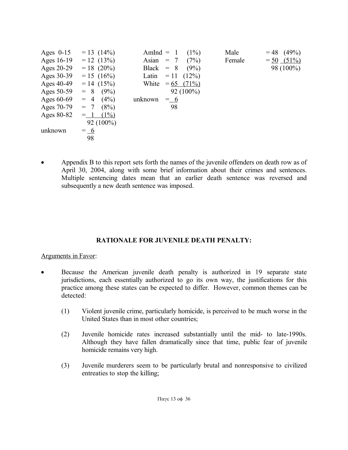| Ages $0-15$ | $= 13(14\%)$     | $AmInd = 1$  |               | Male<br>$(1\%)$ | (49%)<br>$= 48$ |
|-------------|------------------|--------------|---------------|-----------------|-----------------|
| Ages 16-19  | $= 12 (13\%)$    | Asian $= 7$  |               | (7%)<br>Female  | $= 50$ (51%)    |
| Ages 20-29  | $= 18 (20\%)$    | Black $= 8$  |               | (9%)            | 98 (100%)       |
| Ages 30-39  | $= 15 (16\%)$    | Latin $= 11$ | $(12\%)$      |                 |                 |
| Ages 40-49  | $= 14 (15\%)$    | White        | $= 65 (71\%)$ |                 |                 |
| Ages 50-59  | (9%)<br>$= 8$    |              | $92(100\%)$   |                 |                 |
| Ages 60-69  | $(4\%)$<br>$= 4$ | unknown      | $=$ 6         |                 |                 |
| Ages 70-79  | (8%)<br>$= 7$    |              | 98            |                 |                 |
| Ages 80-82  | $(1\%)$<br>$=$ 1 |              |               |                 |                 |
|             | $92(100\%)$      |              |               |                 |                 |
| unknown     | $=\underline{6}$ |              |               |                 |                 |
|             | 98               |              |               |                 |                 |

 Appendix B to this report sets forth the names of the juvenile offenders on death row as of April 30, 2004, along with some brief information about their crimes and sentences. Multiple sentencing dates mean that an earlier death sentence was reversed and subsequently a new death sentence was imposed.

## **RATIONALE FOR JUVENILE DEATH PENALTY:**

## Arguments in Favor:

- Because the American juvenile death penalty is authorized in 19 separate state jurisdictions, each essentially authorized to go its own way, the justifications for this practice among these states can be expected to differ. However, common themes can be detected:
	- (1) Violent juvenile crime, particularly homicide, is perceived to be much worse in the United States than in most other countries;
	- (2) Juvenile homicide rates increased substantially until the mid- to late-1990s. Although they have fallen dramatically since that time, public fear of juvenile homicide remains very high.
	- (3) Juvenile murderers seem to be particularly brutal and nonresponsive to civilized entreaties to stop the killing;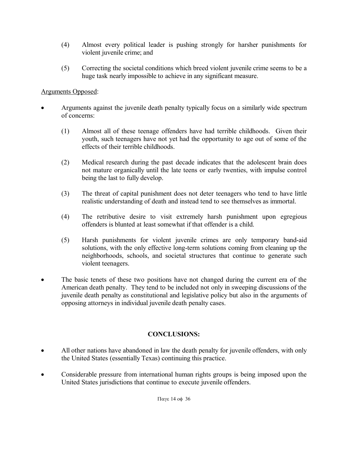- (4) Almost every political leader is pushing strongly for harsher punishments for violent juvenile crime; and
- (5) Correcting the societal conditions which breed violent juvenile crime seems to be a huge task nearly impossible to achieve in any significant measure.

## Arguments Opposed:

- Arguments against the juvenile death penalty typically focus on a similarly wide spectrum of concerns:
	- (1) Almost all of these teenage offenders have had terrible childhoods. Given their youth, such teenagers have not yet had the opportunity to age out of some of the effects of their terrible childhoods.
	- (2) Medical research during the past decade indicates that the adolescent brain does not mature organically until the late teens or early twenties, with impulse control being the last to fully develop.
	- (3) The threat of capital punishment does not deter teenagers who tend to have little realistic understanding of death and instead tend to see themselves as immortal.
	- (4) The retributive desire to visit extremely harsh punishment upon egregious offenders is blunted at least somewhat if that offender is a child.
	- (5) Harsh punishments for violent juvenile crimes are only temporary band-aid solutions, with the only effective long-term solutions coming from cleaning up the neighborhoods, schools, and societal structures that continue to generate such violent teenagers.
- The basic tenets of these two positions have not changed during the current era of the American death penalty. They tend to be included not only in sweeping discussions of the juvenile death penalty as constitutional and legislative policy but also in the arguments of opposing attorneys in individual juvenile death penalty cases.

# **CONCLUSIONS:**

- All other nations have abandoned in law the death penalty for juvenile offenders, with only the United States (essentially Texas) continuing this practice.
- Considerable pressure from international human rights groups is being imposed upon the United States jurisdictions that continue to execute juvenile offenders.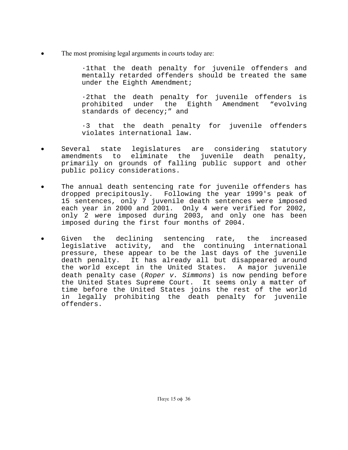The most promising legal arguments in courts today are:

·1that the death penalty for juvenile offenders and mentally retarded offenders should be treated the same under the Eighth Amendment;

·2that the death penalty for juvenile offenders is prohibited under the Eighth Amendment "evolving standards of decency;" and

·3 that the death penalty for juvenile offenders violates international law.

- Several state legislatures are considering statutory amendments to eliminate the juvenile death penalty, primarily on grounds of falling public support and other public policy considerations.
- The annual death sentencing rate for juvenile offenders has dropped precipitously. Following the year 1999's peak of 15 sentences, only 7 juvenile death sentences were imposed each year in 2000 and 2001. Only 4 were verified for 2002, only 2 were imposed during 2003, and only one has been imposed during the first four months of 2004.
- Given the declining sentencing rate, the increased legislative activity, and the continuing international pressure, these appear to be the last days of the juvenile death penalty. It has already all but disappeared around the world except in the United States. A major juvenile death penalty case (Roper  $v$ . Simmons) is now pending before the United States Supreme Court. It seems only a matter of time before the United States joins the rest of the world in legally prohibiting the death penalty for juvenile offenders.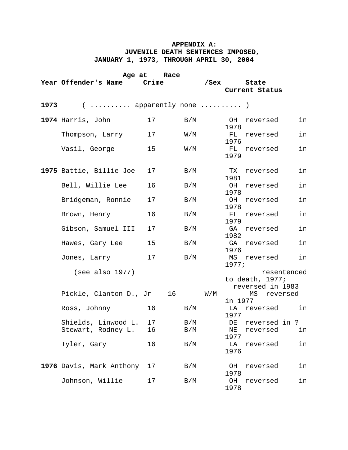## **APPENDIX A: JUVENILE DEATH SENTENCES IMPOSED, JANUARY 1, 1973, THROUGH APRIL 30, 2004**

| Age at Race |                          |       |                               |                             |                   |                                     |             |  |
|-------------|--------------------------|-------|-------------------------------|-----------------------------|-------------------|-------------------------------------|-------------|--|
|             | Year Offender's Name     | Crime |                               | <u>/Sex</u>                 |                   | <u>State</u>                        |             |  |
|             |                          |       |                               |                             |                   | Current Status                      |             |  |
| 1973        | $($ apparently none  )   |       |                               |                             |                   |                                     |             |  |
|             | 1974 Harris, John        | 17    | B/M                           |                             | OH<br>1978        | reversed                            | in          |  |
|             | Thompson, Larry          | 17    | $\mathtt{W}$ / $\mathtt{M}$   |                             | <b>FL</b><br>1976 | reversed                            | in          |  |
|             | Vasil, George            | 15    | $\texttt{W} \,/\, \texttt{M}$ |                             | FL<br>1979        | reversed                            | in          |  |
|             | 1975 Battie, Billie Joe  | 17    | $\rm\,B/M$                    |                             | 1981              | TX reversed                         | in          |  |
|             | Bell, Willie Lee         | 16    | B/M                           |                             | OH<br>1978        | reversed                            | in          |  |
|             | Bridgeman, Ronnie        | 17    | B/M                           |                             | OH<br>1978        | reversed                            | in          |  |
|             | Brown, Henry             | 16    | B/M                           |                             | 1979              | FL reversed                         | in          |  |
|             | Gibson, Samuel III       | 17    | B/M                           |                             | 1982              | GA reversed                         | in          |  |
|             | Hawes, Gary Lee          | 15    | $\rm{B}/\rm{M}$               |                             | GA<br>1976        | reversed                            | in          |  |
|             | Jones, Larry             | 17    | B/M                           |                             | 1977;             | MS reversed                         | in          |  |
|             | (see also 1977)          |       |                               |                             |                   | to death, 1977;<br>reversed in 1983 | resentenced |  |
|             | Pickle, Clanton D., Jr   |       | 16                            | $\mathtt{W}$ / $\mathtt{M}$ | in 1977           | MS                                  | reversed    |  |
|             | Ross, Johnny             | 16    | B/M                           |                             | 1977              | LA reversed    in                   |             |  |
|             | Shields, Linwood L. 17   |       | B/M                           |                             |                   | DE reversed in ?                    |             |  |
|             | Stewart, Rodney L.       | 16    | B/M                           |                             | ΝE<br>1977        | reversed                            | in          |  |
|             | Tyler, Gary              | 16    | B/M                           |                             | LA<br>1976        | reversed                            | in          |  |
|             | 1976 Davis, Mark Anthony | 17    | B/M                           |                             | OН<br>1978        | reversed                            | in          |  |
|             | Johnson, Willie          | 17    | B/M                           |                             | OH<br>1978        | reversed                            | in          |  |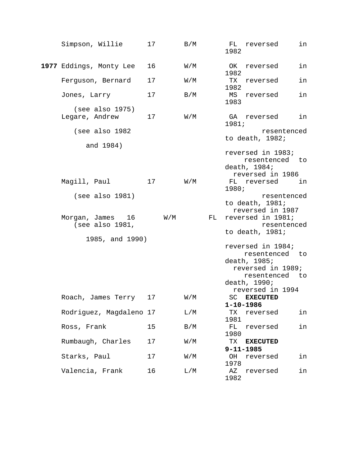| Simpson, Willie                     | 17 |                         | B/M                         |    | FL reversed<br>in<br>1982                                                                                                      |
|-------------------------------------|----|-------------------------|-----------------------------|----|--------------------------------------------------------------------------------------------------------------------------------|
| 1977 Eddings, Monty Lee             | 16 |                         | W/M                         |    | OK reversed<br>in<br>1982                                                                                                      |
| Ferguson, Bernard                   | 17 |                         | W/M                         |    | in<br>TX<br>reversed<br>1982                                                                                                   |
| Jones, Larry                        | 17 |                         | B/M                         |    | in<br>MS reversed<br>1983                                                                                                      |
| (see also 1975)<br>Legare, Andrew   | 17 |                         | $\mathtt{W}$ / $\mathtt{M}$ |    | in<br>GA reversed<br>1981;                                                                                                     |
| (see also 1982                      |    |                         |                             |    | resentenced<br>to death, 1982;                                                                                                 |
| and 1984)<br>Magill, Paul           | 17 |                         | $\mathtt{W}/\mathtt{M}$     |    | reversed in 1983;<br>resentenced to<br>death, 1984;<br>reversed in 1986<br>FL reversed<br>in in                                |
|                                     |    |                         |                             |    | 1980;                                                                                                                          |
| (see also 1981)<br>Morgan, James 16 |    | $\texttt{W}/\texttt{M}$ |                             | FL | resentenced<br>to death, 1981;<br>reversed in 1987<br>reversed in 1981;                                                        |
| (see also 1981,                     |    |                         |                             |    | resentenced<br>to death, 1981;                                                                                                 |
| 1985, and 1990)                     |    |                         |                             |    | reversed in 1984;<br>resentenced to<br>death, 1985;<br>reversed in 1989;<br>resentenced to<br>death, 1990;<br>reversed in 1994 |
| Roach, James Terry                  | 17 |                         | W/M                         |    | <b>EXECUTED</b><br>SC<br>$1 - 10 - 1986$                                                                                       |
| Rodriguez, Magdaleno 17             |    |                         | L/M                         |    | in<br>TХ<br>reversed<br>1981                                                                                                   |
| Ross, Frank                         | 15 |                         | B/M                         |    | FL<br>in<br>reversed<br>1980                                                                                                   |
| Rumbaugh, Charles                   | 17 |                         | W/M                         |    | TX<br><b>EXECUTED</b><br>$9 - 11 - 1985$                                                                                       |
| Starks, Paul                        | 17 |                         | W/M                         |    | ОH<br>in<br>reversed<br>1978                                                                                                   |
| Valencia, Frank                     | 16 |                         | L/M                         |    | in<br>ΑZ<br>reversed<br>1982                                                                                                   |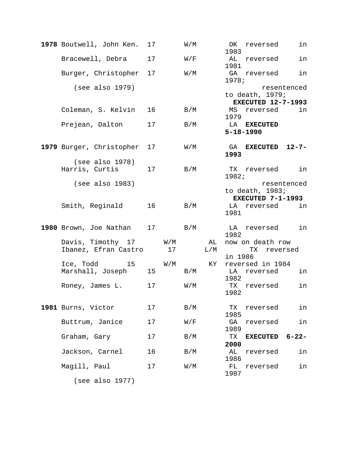| 1978 Boutwell, John Ken.                  | 17 |                               | W/M                     |                 | OK<br>1983 | reversed                                      | in          |
|-------------------------------------------|----|-------------------------------|-------------------------|-----------------|------------|-----------------------------------------------|-------------|
| Bracewell, Debra                          | 17 |                               | $\texttt{W}/\texttt{F}$ |                 | AL<br>1981 | reversed                                      | in          |
| Burger, Christopher                       | 17 |                               | W/M                     |                 | 1978;      | GA reversed                                   | in          |
| (see also 1979)                           |    |                               |                         |                 |            | to death, 1979;                               | resentenced |
| Coleman, S. Kelvin                        | 16 |                               | B/M                     |                 | MS<br>1979 | <b>EXECUTED 12-7-1993</b><br>reversed in      |             |
| Prejean, Dalton                           | 17 |                               | B/M                     |                 |            | LA EXECUTED<br>$5 - 18 - 1990$                |             |
| 1979 Burger, Christopher                  | 17 |                               | $\mathtt{W}/\mathtt{M}$ |                 | GA<br>1993 | EXECUTED 12-7-                                |             |
| (see also 1978)<br>Harris, Curtis         | 17 |                               | B/M                     |                 | 1982;      | TX reversed                                   | in          |
| (see also 1983)                           |    |                               |                         |                 |            | to death, $1983;$<br><b>EXECUTED 7-1-1993</b> | resentenced |
| Smith, Reginald                           | 16 |                               | B/M                     |                 | 1981       | LA reversed in                                |             |
| 1980 Brown, Joe Nathan                    |    | 17                            | B/M                     |                 | 1982       | LA reversed                                   | in          |
| Davis, Timothy 17<br>Ibanez, Efran Castro |    | $\texttt{W}/\texttt{M}$<br>17 |                         | AL TANKS<br>L/M | in 1986    | now on death row<br>TX                        | reversed    |
| Ice, Todd<br>15<br>Marshall, Joseph       | 15 | $\mathtt{W}/\mathtt{M}$       | B/M                     | KY              | 1982       | reversed in 1984<br>LA reversed               | in          |
| Roney, James L.                           | 17 |                               | $\mathtt{W}/\mathtt{M}$ |                 | 1982       | TX reversed                                   | in          |
| 1981 Burns, Victor                        | 17 |                               | B/M                     |                 | TX<br>1985 | reversed                                      | in          |
| Buttrum, Janice                           | 17 |                               | W/F                     |                 | GA<br>1989 | reversed                                      | in          |
| Graham, Gary                              | 17 |                               | B/M                     |                 | TX<br>2000 | <b>EXECUTED</b>                               | $6 - 22 -$  |
| Jackson, Carnel                           | 16 |                               | B/M                     |                 | AL<br>1986 | reversed                                      | in          |
| Magill, Paul                              | 17 |                               | W/M                     |                 | FL<br>1987 | reversed                                      | in          |
| (see also 1977)                           |    |                               |                         |                 |            |                                               |             |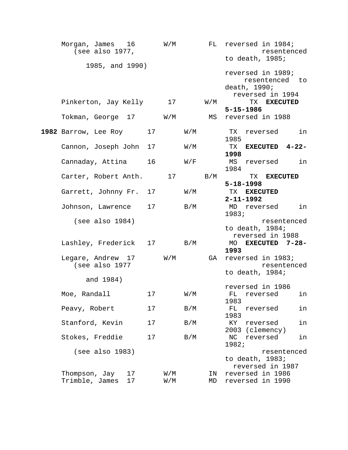| Morgan, James 16 W/M<br>(see also $1977$ ,  |    |            |                             |                         | FL reversed in 1984;<br>resentenced     |
|---------------------------------------------|----|------------|-----------------------------|-------------------------|-----------------------------------------|
| 1985, and 1990)                             |    |            |                             |                         | to death, 1985;                         |
|                                             |    |            |                             |                         | reversed in 1989;<br>resentenced to     |
|                                             |    |            |                             |                         | death, 1990;                            |
|                                             |    |            |                             |                         | reversed in 1994                        |
| Pinkerton, Jay Kelly                        |    | 17         |                             | $\texttt{W}/\texttt{M}$ | TX EXECUTED<br>$5 - 15 - 1986$          |
| Tokman, George 17 W/M                       |    |            |                             |                         | MS reversed in 1988                     |
| 1982 Barrow, Lee Roy                        | 17 |            | $\mathtt{W}/\mathtt{M}$     |                         | TX reversed<br>in<br>1985               |
| Cannon, Joseph John                         | 17 |            | $\mathtt{W}$ / $\mathtt{M}$ |                         | TX EXECUTED 4-22-<br>1998               |
| Cannaday, Attina                            | 16 |            | $\texttt{W}/\texttt{F}$     |                         | in<br>MS reversed<br>1984               |
| Carter, Robert Anth. 17                     |    |            |                             | B/M                     | TX EXECUTED                             |
|                                             |    |            |                             |                         | $5 - 18 - 1998$                         |
| Garrett, Johnny Fr. 17                      |    |            | $\mathtt{W}$ / $\mathtt{M}$ |                         | TX EXECUTED                             |
|                                             |    |            |                             |                         | $2 - 11 - 1992$                         |
| Johnson, Lawrence                           | 17 |            | B/M                         |                         | MD reversed<br>in<br>1983;              |
| (see also 1984)                             |    |            |                             |                         | resentenced                             |
|                                             |    |            |                             |                         | to death, $1984;$                       |
|                                             |    |            |                             |                         | reversed in 1988                        |
| Lashley, Frederick 17                       |    |            | B/M                         |                         | MO EXECUTED 7-28-<br>1993               |
| Legare, Andrew 17 W/M                       |    |            |                             | GA                      | reversed in 1983;                       |
| (see also 1977                              |    |            |                             |                         | resentenced                             |
| and 1984)                                   |    |            |                             |                         | to death, $1984;$                       |
|                                             |    |            |                             |                         | reversed in 1986                        |
| Moe, Randall                                | 17 |            | $\mathtt{W}/\mathtt{M}$     |                         | FL reversed<br>in<br>1983               |
| Peavy, Robert                               | 17 |            | B/M                         |                         | in<br>FL<br>reversed<br>1983            |
| Stanford, Kevin                             | 17 |            | B/M                         |                         | KY<br>reversed<br>in<br>2003 (clemency) |
| Stokes, Freddie                             | 17 |            | B/M                         |                         | in<br>ΝC<br>reversed<br>1982;           |
| (see also 1983)                             |    |            |                             |                         | resentenced                             |
|                                             |    |            |                             |                         | to death, 1983;                         |
|                                             |    |            |                             |                         | reversed in 1987                        |
| Thompson, Jay<br>17<br>Trimble, James<br>17 |    | W/M<br>W/M |                             | ΙN<br>MD                | reversed in 1986<br>reversed in 1990    |
|                                             |    |            |                             |                         |                                         |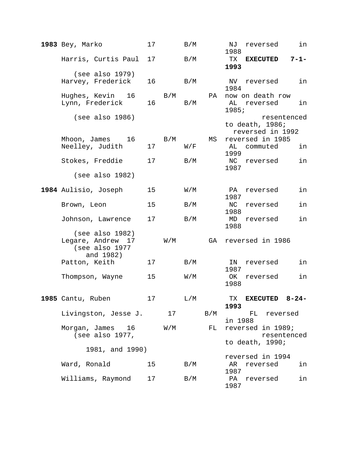| 1983 Bey, Marko                                                     | 17 |                         | B/M                     |     | in<br>NJ<br>reversed<br>1988                       |
|---------------------------------------------------------------------|----|-------------------------|-------------------------|-----|----------------------------------------------------|
| Harris, Curtis Paul                                                 | 17 |                         | B/M                     |     | TX<br>$7 - 1 -$<br><b>EXECUTED</b><br>1993         |
| (see also 1979)<br>Harvey, Frederick                                | 16 |                         | B/M                     |     | in<br>NV reversed<br>1984                          |
| Hughes, Kevin 16<br>Lynn, Frederick                                 | 16 | B/M                     | B/M                     | PA  | now on death row<br>AL reversed<br>in<br>1985;     |
| (see also 1986)                                                     |    |                         |                         |     | resentenced<br>to death, 1986;<br>reversed in 1992 |
| Mhoon, James 16<br>Neelley, Judith                                  | 17 | $\rm\,B/M$              | W/F                     | MS  | reversed in 1985<br>AL commuted<br>in<br>1999      |
| Stokes, Freddie                                                     | 17 |                         | B/M                     |     | in<br>NC reversed<br>1987                          |
| (see also 1982)                                                     |    |                         |                         |     |                                                    |
| 1984 Aulisio, Joseph                                                | 15 |                         | $\texttt{W}/\texttt{M}$ |     | in<br>PA<br>reversed<br>1987                       |
| Brown, Leon                                                         | 15 |                         | B/M                     |     | in<br>NC<br>reversed<br>1988                       |
| Johnson, Lawrence                                                   | 17 |                         | B/M                     |     | MD<br>reversed<br>in<br>1988                       |
| (see also 1982)<br>Legare, Andrew 17<br>(see also 1977<br>and 1982) |    | $\mathtt{W}/\mathtt{M}$ |                         | GA  | reversed in 1986                                   |
| Patton, Keith                                                       | 17 |                         | B/M                     |     | IN<br>in<br>reversed<br>1987                       |
| Thompson, Wayne                                                     | 15 |                         | $\mathtt{W}/\mathtt{M}$ |     | in<br>OK<br>reversed<br>1988                       |
| 1985 Cantu, Ruben                                                   | 17 |                         | L/M                     |     | $8 - 24 -$<br>TX<br><b>EXECUTED</b><br>1993        |
| Livingston, Jesse J.                                                |    | 17                      |                         | B/M | FL<br>reversed<br>in 1988                          |
| Morgan, James<br>16<br>(see also 1977,                              |    | W/M                     |                         | FL  | reversed in 1989;<br>resentenced                   |
| 1981, and 1990)                                                     |    |                         |                         |     | to death, 1990;                                    |
| Ward, Ronald                                                        | 15 |                         | B/M                     |     | reversed in 1994<br>AR<br>in<br>reversed<br>1987   |
| Williams, Raymond                                                   | 17 |                         | B/M                     |     | in<br>PA<br>reversed<br>1987                       |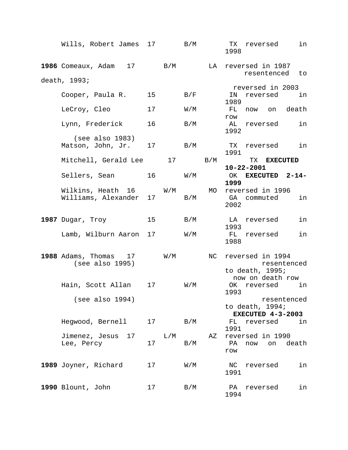| Wills, Robert James 17 B/M                            |    |                         |                               |                            | TX reversed<br>in<br>1998                                              |
|-------------------------------------------------------|----|-------------------------|-------------------------------|----------------------------|------------------------------------------------------------------------|
| 1986 Comeaux, Adam $17$ B/M                           |    |                         |                               | LA                         | reversed in 1987                                                       |
| death, 1993;                                          |    |                         |                               |                            | resentenced to                                                         |
|                                                       |    |                         |                               |                            | reversed in 2003                                                       |
| Cooper, Paula R.                                      | 15 |                         | $\rm\,B/F$                    |                            | IN<br>reversed<br>in in<br>1989                                        |
| LeCroy, Cleo                                          | 17 |                         | $\mathtt{W}/\mathtt{M}$       |                            | now on death<br>FL<br>row                                              |
| Lynn, Frederick                                       | 16 |                         | B/M                           |                            | AL reversed<br>in<br>1992                                              |
| (see also 1983)<br>Matson, John, Jr.                  |    | 17                      | $\rm\,B/M$                    |                            | TX reversed in<br>1991                                                 |
| Mitchell, Gerald Lee                                  |    |                         |                               | $17$ B/M                   | TX <b>EXECUTED</b>                                                     |
|                                                       |    |                         |                               |                            | $10 - 22 - 2001$                                                       |
| Sellers, Sean                                         |    | 16                      | $\texttt{W} \,/\, \texttt{M}$ |                            | OK EXECUTED 2-14-<br>1999                                              |
| Wilkins, Heath 16 W/M<br>Williams, Alexander 17       |    |                         | $\rm\,B/M$                    | MO                         | reversed in 1996<br>in<br>GA commuted<br>2002                          |
| 1987 Dugar, Troy                                      | 15 |                         | B/M                           |                            | in<br>LA reversed<br>1993                                              |
| Lamb, Wilburn Aaron 17                                |    |                         | $\mathtt{W}$ / $\mathtt{M}$   |                            | FL reversed<br>in<br>1988                                              |
| <b>1988</b> Adams, Thomas $17$ W/M<br>(see also 1995) |    |                         |                               | NC                         | reversed in 1994<br>resentenced<br>to death, 1995;<br>now on death row |
| Hain, Scott Allan                                     | 17 |                         | $\texttt{W}/\texttt{M}$       |                            | OK reversed<br>in<br>1993                                              |
| (see also 1994)                                       |    |                         |                               |                            | resentenced<br>to death, 1994;<br>EXECUTED $4-3-2003$                  |
| Hegwood, Bernell                                      | 17 |                         | B/M                           |                            | FL<br>reversed<br>in<br>1991                                           |
| Jimenez, Jesus<br>17<br>Lee, Percy                    | 17 | $\mathbb{L}/\mathbb{M}$ | B/M                           | $\mathop{\rm AZ}\nolimits$ | reversed in 1990<br>PA<br>death<br>now<br>on<br>row                    |
| 1989 Joyner, Richard                                  | 17 |                         | $\texttt{W}/\texttt{M}$       |                            | in<br>NC<br>reversed<br>1991                                           |
| 1990 Blount, John                                     | 17 |                         | B/M                           |                            | PA<br>reversed<br>in<br>1994                                           |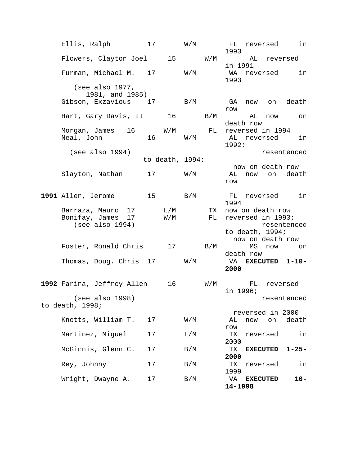| Ellis, Ralph                         | 17              |                                                       | W/M                         |                             | FL<br>1993    |                 |                                        | reversed in                                                                                                                                                                                                                       |
|--------------------------------------|-----------------|-------------------------------------------------------|-----------------------------|-----------------------------|---------------|-----------------|----------------------------------------|-----------------------------------------------------------------------------------------------------------------------------------------------------------------------------------------------------------------------------------|
| Flowers, Clayton Joel 15 W/M         |                 |                                                       |                             |                             | in 1991       |                 |                                        | AL reversed                                                                                                                                                                                                                       |
| Furman, Michael M. 17                |                 |                                                       | $\mathtt{W}$ / $\mathtt{M}$ |                             | 1993          |                 |                                        | WA reversed in                                                                                                                                                                                                                    |
| (see also 1977,<br>1981, and 1985)   |                 |                                                       |                             |                             |               |                 |                                        |                                                                                                                                                                                                                                   |
| Gibson, Exzavious 17                 |                 |                                                       | $\rm\,B/M$                  |                             | GA<br>row     |                 | now on                                 | death                                                                                                                                                                                                                             |
| Hart, Gary Davis, II                 |                 |                                                       | 16                          | $\rm\,B/M$                  |               | AL<br>death row | now                                    | on                                                                                                                                                                                                                                |
| Morgan, James 16<br>Neal, John       | 16              | $W/M$ FL                                              | $\mathtt{W}$ / $\mathtt{M}$ |                             | 1992;         |                 | reversed in 1994                       | AL reversed in                                                                                                                                                                                                                    |
| (see also 1994)                      |                 | to death, $1994;$                                     |                             |                             |               |                 |                                        | resentenced                                                                                                                                                                                                                       |
|                                      |                 |                                                       |                             |                             |               |                 |                                        | now on death row                                                                                                                                                                                                                  |
| Slayton, Nathan                      | 17              |                                                       | $\mathtt{W}$ / $\mathtt{M}$ |                             | AL<br>row     |                 | now on                                 | death                                                                                                                                                                                                                             |
| 1991 Allen, Jerome                   | 15 <sub>2</sub> |                                                       | B/M                         |                             | FL<br>1994    |                 |                                        | reversed in                                                                                                                                                                                                                       |
| Barraza, Mauro 17                    |                 | $\mathop{\rm L}\nolimits$ / $\mathop{\rm M}\nolimits$ |                             | TX                          |               |                 | now on death row                       |                                                                                                                                                                                                                                   |
| Bonifay, James 17<br>(see also 1994) |                 | $\mathtt{W}/\mathtt{M}$                               |                             | FL                          |               |                 | reversed in 1993;<br>to death, $1994;$ | resentenced                                                                                                                                                                                                                       |
|                                      |                 |                                                       |                             |                             |               |                 |                                        | now on death row                                                                                                                                                                                                                  |
| Foster, Ronald Chris                 |                 |                                                       | 17                          | B/M                         |               | MS<br>death row | now                                    | on on the contract of the contract of the contract of the contract of the contract of the contract of the contr<br>Separate of the contract of the contract of the contract of the contract of the contract of the contract of th |
| Thomas, Doug. Chris 17               |                 |                                                       | $\texttt{W}/\texttt{M}$     |                             | 2000          |                 |                                        | VA EXECUTED 1-10-                                                                                                                                                                                                                 |
| 1992 Farina, Jeffrey Allen           |                 | 16                                                    |                             | $\mathtt{W}$ / $\mathtt{M}$ | in 1996;      |                 | FL reversed                            |                                                                                                                                                                                                                                   |
| (see also 1998)<br>to death, 1998;   |                 |                                                       |                             |                             |               |                 |                                        | resentenced                                                                                                                                                                                                                       |
| Knotts, William T.                   | 17              |                                                       | $\texttt{W}/\texttt{M}$     |                             | AL            | now             | reversed in 2000<br>on                 | death                                                                                                                                                                                                                             |
|                                      |                 |                                                       |                             |                             | row           |                 |                                        |                                                                                                                                                                                                                                   |
| Martinez, Miguel                     | 17              |                                                       | L/M                         |                             | TX<br>2000    |                 | reversed                               | in                                                                                                                                                                                                                                |
| McGinnis, Glenn C.                   | 17              |                                                       | B/M                         |                             | TX<br>2000    |                 | <b>EXECUTED</b>                        | $1 - 25 -$                                                                                                                                                                                                                        |
| Rey, Johnny                          | 17              |                                                       | B/M                         |                             | TX<br>1999    |                 | reversed                               | in                                                                                                                                                                                                                                |
| Wright, Dwayne A.                    | 17              |                                                       | B/M                         |                             | VA<br>14-1998 | <b>EXECUTED</b> |                                        | $10 -$                                                                                                                                                                                                                            |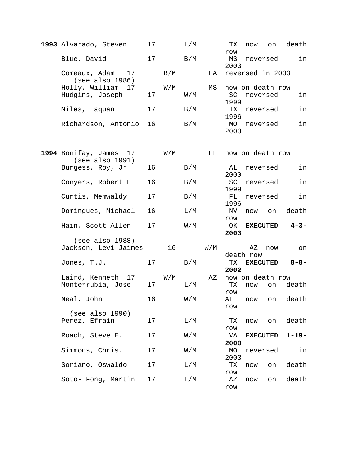| 1993 Alvarado, Steven                     | 17 |                             | L/M |                             | ТX<br>row         | now             | on               | death      |
|-------------------------------------------|----|-----------------------------|-----|-----------------------------|-------------------|-----------------|------------------|------------|
| Blue, David                               | 17 |                             | B/M |                             | MS<br>2003        |                 | reversed         | in         |
| Comeaux, Adam<br>17<br>(see also 1986)    |    | B/M                         |     | LA                          |                   |                 | reversed in 2003 |            |
| Holly, William 17                         |    | $\mathtt{W}$ / $\mathtt{M}$ |     | ΜS                          |                   |                 | now on death row |            |
| Hudgins, Joseph                           | 17 |                             | W/M |                             | SC<br>1999        | reversed        |                  | in         |
| Miles, Laquan                             | 17 |                             | B/M |                             | TX<br>1996        |                 | reversed         | in         |
| Richardson, Antonio                       | 16 |                             | B/M |                             | <b>MO</b><br>2003 |                 | reversed         | in         |
| 1994 Bonifay, James 17<br>(see also 1991) |    | $\mathtt{W}$ / $\mathtt{M}$ |     | FL                          |                   |                 | now on death row |            |
| Burgess, Roy, Jr                          | 16 |                             | B/M |                             | AL<br>2000        | reversed        |                  | in         |
| Conyers, Robert L.                        | 16 |                             | B/M |                             | SC<br>1999        |                 | reversed         | in         |
| Curtis, Memwaldy                          | 17 |                             | B/M |                             | FL<br>1996        |                 | reversed         | in         |
| Domingues, Michael                        | 16 |                             | L/M |                             | NV<br>row         | now             | on               | death      |
| Hain, Scott Allen                         | 17 |                             | W/M |                             | OK<br>2003        |                 | <b>EXECUTED</b>  | $4 - 3 -$  |
| (see also 1988)                           |    |                             |     |                             |                   |                 |                  |            |
| Jackson, Levi Jaimes                      |    | 16                          |     | $\mathtt{W}$ / $\mathtt{M}$ |                   | ΑZ<br>death row | now              | on         |
| Jones, T.J.                               | 17 |                             | B/M |                             | TX<br>2002        |                 | <b>EXECUTED</b>  | $8 - 8 -$  |
| Laird, Kenneth 17                         |    | W/M                         |     | $\mathbf{A} \mathbf{Z}$     |                   |                 | now on death row |            |
| Monterrubia, Jose                         | 17 |                             | L/M |                             | ТX<br>row         | now             | on               | death      |
| Neal, John                                | 16 |                             | W/M |                             | AL<br>row         | now             | on               | death      |
| (see also 1990)                           |    |                             |     |                             |                   |                 |                  |            |
| Perez, Efrain                             | 17 |                             | L/M |                             | TХ<br>row         | now             | on               | death      |
| Roach, Steve E.                           | 17 |                             | W/M |                             | VA<br>2000        |                 | <b>EXECUTED</b>  | $1 - 19 -$ |
| Simmons, Chris.                           | 17 |                             | W/M |                             | МO<br>2003        |                 | reversed         | in         |
| Soriano, Oswaldo                          | 17 |                             | L/M |                             | TХ<br>row         | now             | on               | death      |
| Soto- Fong, Martin                        | 17 |                             | L/M |                             | ΑZ<br>row         | now             | on               | death      |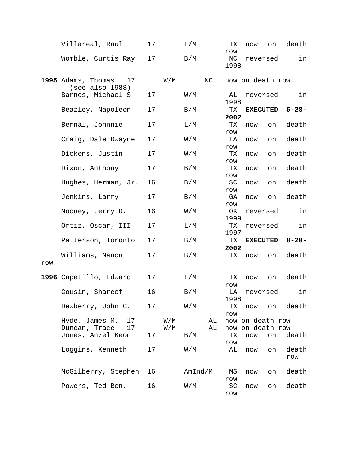|     | Villareal, Raul                             | 17 |                                | L/M     |          | ТX                | now                                  | on | death        |
|-----|---------------------------------------------|----|--------------------------------|---------|----------|-------------------|--------------------------------------|----|--------------|
|     | Womble, Curtis Ray                          | 17 |                                | B/M     |          | row<br>NC<br>1998 | reversed                             |    | in           |
|     | 1995 Adams, Thomas 17<br>(see also 1988)    |    | W/M                            |         | NC       |                   | now on death row                     |    |              |
|     | Barnes, Michael S.                          | 17 |                                | W/M     |          | AL<br>1998        | reversed                             |    | in           |
|     | Beazley, Napoleon                           | 17 |                                | B/M     |          | TX<br>2002        | <b>EXECUTED</b>                      |    | $5 - 28 -$   |
|     | Bernal, Johnnie                             | 17 |                                | L/M     |          | ТX<br>row         | now                                  | on | death        |
|     | Craig, Dale Dwayne                          | 17 |                                | W/M     |          | LA<br>row         | now                                  | on | death        |
|     | Dickens, Justin                             | 17 |                                | W/M     |          | TX<br>row         | now                                  | on | death        |
|     | Dixon, Anthony                              | 17 |                                | B/M     |          | TX<br>row         | now                                  | on | death        |
|     | Hughes, Herman, Jr.                         | 16 |                                | B/M     |          | SC<br>row         | now                                  | on | death        |
|     | Jenkins, Larry                              | 17 |                                | B/M     |          | GA<br>row         | now                                  | on | death        |
|     | Mooney, Jerry D.                            | 16 |                                | W/M     |          | OK<br>1999        | reversed                             |    | in           |
|     | Ortiz, Oscar, III                           | 17 |                                | L/M     |          | TX<br>1997        | reversed                             |    | in           |
|     | Patterson, Toronto                          | 17 |                                | B/M     |          | TX<br>2002        | <b>EXECUTED</b>                      |    | 8-28-        |
| row | Williams, Nanon                             | 17 |                                | B/M     |          | TX                | now                                  | on | death        |
|     | 1996 Capetillo, Edward                      | 17 |                                | L/M     |          | ТX                | now                                  | on | death        |
|     | Cousin, Shareef                             | 16 |                                | B/M     |          | row<br>LA<br>1998 | reversed                             |    | in           |
|     | Dewberry, John C.                           | 17 |                                | W/M     |          | ТX<br>$r$ ow      | now                                  | on | death        |
|     | Hyde, James M.<br>17<br>Duncan, Trace<br>17 |    | W/M<br>$\mathtt{W}/\mathtt{M}$ |         | AL<br>AL |                   | now on death row<br>now on death row |    |              |
|     | Jones, Anzel Keon                           | 17 |                                | B/M     |          | ТX<br>row         | now                                  | on | death        |
|     | Loggins, Kenneth                            | 17 |                                | W/M     |          | AL                | now                                  | on | death<br>row |
|     | McGilberry, Stephen                         | 16 |                                | AmInd/M |          | ΜS<br>row         | now                                  | on | death        |
|     | Powers, Ted Ben.                            | 16 |                                | W/M     |          | SC<br>row         | now                                  | on | death        |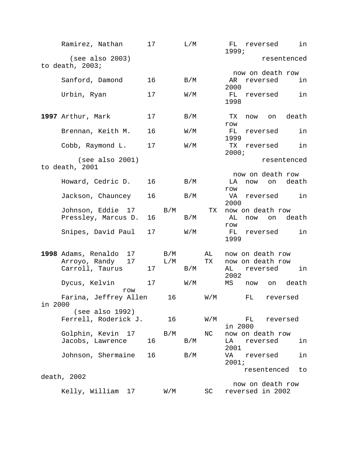|         | Ramirez, Nathan                       | 17 |     | L/M                     |                         | FL reversed<br>in<br>1999;       |
|---------|---------------------------------------|----|-----|-------------------------|-------------------------|----------------------------------|
|         | (see also 2003)<br>to death, $2003$ ; |    |     |                         |                         | resentenced                      |
|         |                                       |    |     |                         |                         | now on death row                 |
|         | Sanford, Damond                       | 16 |     | B/M                     |                         | AR<br>reversed<br>in<br>2000     |
|         | Urbin, Ryan                           | 17 |     | W/M                     |                         | FL<br>in<br>reversed             |
|         |                                       |    |     |                         |                         | 1998                             |
|         | 1997 Arthur, Mark                     | 17 |     | B/M                     |                         | death<br>TX<br>now<br>on         |
|         |                                       |    |     |                         |                         | row                              |
|         | Brennan, Keith M.                     | 16 |     | W/M                     |                         | FL<br>in<br>reversed             |
|         | Cobb, Raymond L.                      | 17 |     | W/M                     |                         | 1999<br>TX<br>in<br>reversed     |
|         |                                       |    |     |                         |                         | 2000i                            |
|         | (see also 2001)<br>to death, 2001     |    |     |                         |                         | resentenced                      |
|         |                                       |    |     |                         |                         | now on death row                 |
|         | Howard, Cedric D.                     | 16 |     | B/M                     |                         | death<br>on<br>LA<br>now         |
|         | Jackson, Chauncey                     | 16 |     | B/M                     |                         | row<br>in<br>VA<br>reversed      |
|         |                                       |    |     |                         |                         | 2000                             |
|         | Johnson, Eddie 17                     |    | B/M |                         | TX                      | now on death row                 |
|         | Pressley, Marcus D.                   | 16 |     | B/M                     |                         | death<br>AL<br>on<br>now         |
|         |                                       |    |     |                         |                         | row                              |
|         | Snipes, David Paul                    | 17 |     | W/M                     |                         | in<br>FL<br>reversed<br>1999     |
|         |                                       |    |     |                         |                         |                                  |
|         | 1998 Adams, Renaldo<br>17             |    | B/M |                         | AL                      | now on death row                 |
|         | Arroyo, Randy<br>17                   |    | L/M |                         | TX                      | now on death row                 |
|         | Carroll, Taurus                       | 17 |     | B/M                     |                         | AL<br>reversed<br>in             |
|         | Dycus, Kelvin                         | 17 |     | $\texttt{W}/\texttt{M}$ |                         | 2002<br>death<br>ΜS<br>now<br>on |
|         | row                                   |    |     |                         |                         |                                  |
| in 2000 | Farina, Jeffrey Allen                 |    | 16  |                         | W/M                     | FL<br>reversed                   |
|         | (see also 1992)                       |    |     |                         |                         |                                  |
|         | Ferrell, Roderick J.                  |    | 16  |                         | $\texttt{W}/\texttt{M}$ | FL<br>reversed                   |
|         |                                       |    |     |                         |                         | in 2000                          |
|         | Golphin, Kevin 17<br>Jacobs, Lawrence | 16 | B/M |                         | ΝC                      | now on death row                 |
|         |                                       |    |     | B/M                     |                         | LA<br>reversed<br>in<br>2001     |
|         | Johnson, Shermaine                    | 16 |     | B/M                     |                         | in<br>VA<br>reversed             |
|         |                                       |    |     |                         |                         | 2001;                            |
|         |                                       |    |     |                         |                         | resentenced<br>to                |
|         | death, 2002                           |    |     |                         |                         | now on death row                 |
|         | Kelly, William<br>17                  |    | W/M |                         | SC                      | reversed in 2002                 |
|         |                                       |    |     |                         |                         |                                  |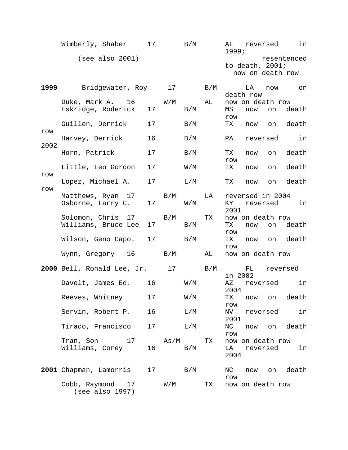|             | Wimberly, Shaber 17                          |                 |                             | B/M                                                   |     | 1999;                | AL reversed                  |          | in in            |
|-------------|----------------------------------------------|-----------------|-----------------------------|-------------------------------------------------------|-----|----------------------|------------------------------|----------|------------------|
|             | (see also 2001)                              |                 |                             |                                                       |     |                      | to death, $2001$ ;           |          | resentenced      |
|             |                                              |                 |                             |                                                       |     |                      |                              |          | now on death row |
| 1999        | Bridgewater, Roy 17                          |                 |                             |                                                       | B/M |                      | LA<br>death row              | now      | on               |
|             | Duke, Mark A. 16 W/M                         |                 |                             |                                                       | AL  |                      | now on death row             |          |                  |
|             | Eskridge, Roderick                           | 17              |                             | B/M                                                   |     | MS                   | now                          | on       | death            |
|             | Guillen, Derrick                             | 17              |                             | B/M                                                   |     | row<br>TX            | now                          |          | on death         |
| ${\tt row}$ |                                              |                 |                             |                                                       |     |                      |                              |          |                  |
| 2002        | Harvey, Derrick                              | 16              |                             | B/M                                                   |     | PA                   |                              | reversed | in               |
|             | Horn, Patrick                                | 17              |                             | B/M                                                   |     | TX<br>row            | now                          | on       | death            |
|             | Little, Leo Gordon                           | 17              |                             | $\mathtt{W}/\mathtt{M}$                               |     | TX                   | now                          | on       | death            |
| row<br>row  | Lopez, Michael A.                            | 17              |                             | L/M                                                   |     | TX                   | now                          | on       | death            |
|             | Matthews, Ryan 17<br>Osborne, Larry C.       | 17              | B/M                         | $\mathtt{W}$ / $\mathtt{M}$                           | LA  | KY<br>2001           | reversed in 2004             | reversed | in               |
|             | Solomon, Chris 17 B/M<br>Williams, Bruce Lee | 17              |                             | B/M                                                   | TX  | TX                   | now on death row<br>now      | on       | death            |
|             | Wilson, Geno Capo.                           | 17              |                             | B/M                                                   |     | row<br>TX<br>row     | now                          |          | on death         |
|             | Wynn, Gregory 16                             |                 | B/M                         |                                                       | AL  |                      | now on death row             |          |                  |
|             | 2000 Bell, Ronald Lee, Jr. 17 B/M            |                 |                             |                                                       |     | in 2002              | FL                           |          | reversed         |
|             | Davolt, James Ed.                            | 16              |                             | $\texttt{W}/\texttt{M}$                               |     | AZ<br>2004           | reversed                     |          | in               |
|             | Reeves, Whitney                              | 17              |                             | W/M                                                   |     | ТX<br>row            | now                          | on       | death            |
|             | Servin, Robert P.                            | 16              |                             | $\mathop{\rm L}\nolimits$ / $\mathop{\rm M}\nolimits$ |     | $\rm NV$<br>2001     |                              | reversed | in               |
|             | Tirado, Francisco                            | 17              |                             | L/M                                                   |     | ΝC<br>$\texttt{row}$ |                              |          | now on death     |
|             | Tran, Son 17<br>Williams, Corey              | 16              | As/M                        | B/M                                                   | TX  | LA<br>2004           | now on death row<br>reversed |          | in               |
|             | 2001 Chapman, Lamorris                       | 17 <sub>2</sub> |                             | $\rm\,B/M$                                            |     | NC<br>row            | now                          |          | on death         |
|             | Cobb, Raymond 17<br>(see also 1997)          |                 | $\mathtt{W}$ / $\mathtt{M}$ |                                                       | TX  |                      | now on death row             |          |                  |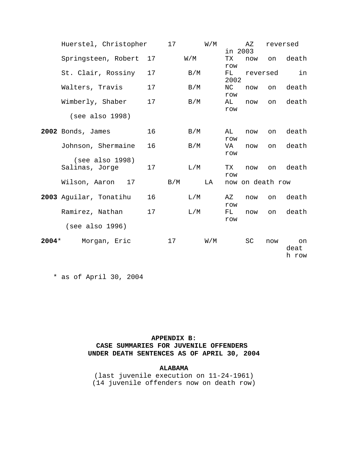|         | Huerstel, Christopher             |    | 17  |     | W/M |                   | ΑZ               |          | reversed            |
|---------|-----------------------------------|----|-----|-----|-----|-------------------|------------------|----------|---------------------|
|         | Springsteen, Robert               | 17 |     | W/M |     | TX.<br>row        | in 2003<br>now   | on       | death               |
|         | St. Clair, Rossiny                | 17 |     | B/M |     | FL.<br>2002       |                  | reversed | in                  |
|         | Walters, Travis                   | 17 |     | B/M |     | NC<br>row         | now              | on       | death               |
|         | Wimberly, Shaber                  | 17 |     | B/M |     | AL<br>row         | now              | on       | death               |
|         | (see also 1998)                   |    |     |     |     |                   |                  |          |                     |
|         | 2002 Bonds, James                 | 16 |     | B/M |     | AL<br>${\tt row}$ | now              | on       | death               |
|         | Johnson, Shermaine                | 16 |     | B/M |     | VA<br>row         | now              | on       | death               |
|         | (see also 1998)<br>Salinas, Jorge | 17 |     | L/M |     | TX<br>row         | now              | on       | death               |
|         | 17<br>Wilson, Aaron               |    | B/M |     | LA  |                   | now on death row |          |                     |
|         | 2003 Aguilar, Tonatihu            | 16 |     | L/M |     | ΑZ<br>row         | now              | on       | death               |
|         | Ramirez, Nathan                   | 17 |     | L/M |     | FL<br>row         | now              | on       | death               |
|         | (see also 1996)                   |    |     |     |     |                   |                  |          |                     |
| $2004*$ | Morgan, Eric                      |    | 17  |     | W/M |                   | SC               | now      | on<br>deat<br>h row |

\* as of April 30, 2004

### **APPENDIX B: CASE SUMMARIES FOR JUVENILE OFFENDERS UNDER DEATH SENTENCES AS OF APRIL 30, 2004**

#### **ALABAMA**

(last juvenile execution on 11-24-1961) (14 juvenile offenders now on death row)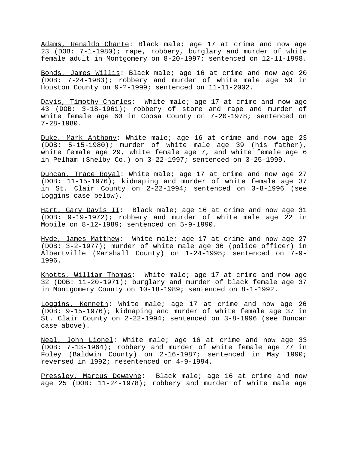Adams, Renaldo Chante: Black male; age 17 at crime and now age 23 (DOB: 7-1-1980); rape, robbery, burglary and murder of white female adult in Montgomery on 8-20-1997; sentenced on 12-11-1998.

Bonds, James Willis: Black male; age 16 at crime and now age 20 (DOB: 7-24-1983); robbery and murder of white male age 59 in Houston County on 9-?-1999; sentenced on 11-11-2002.

Davis, Timothy Charles: White male; age 17 at crime and now age 43 (DOB: 3-18-1961); robbery of store and rape and murder of white female age 60 in Coosa County on 7-20-1978; sentenced on 7-28-1980.

Duke, Mark Anthony: White male; age 16 at crime and now age 23 (DOB: 5-15-1980); murder of white male age 39 (his father), white female age 29, white female age 7, and white female age 6 in Pelham (Shelby Co.) on 3-22-1997; sentenced on 3-25-1999.

Duncan, Trace Royal: White male; age 17 at crime and now age 27 (DOB: 11-15-1976); kidnaping and murder of white female age 37 in St. Clair County on 2-22-1994; sentenced on 3-8-1996 (see Loggins case below).

Hart, Gary Davis II: Black male; age 16 at crime and now age 31 (DOB: 9-19-1972); robbery and murder of white male age 22 in Mobile on 8-12-1989; sentenced on 5-9-1990.

Hyde, James Matthew: White male; age 17 at crime and now age 27 (DOB: 3-2-1977); murder of white male age 36 (police officer) in Albertville (Marshall County) on 1-24-1995; sentenced on 7-9- 1996.

Knotts, William Thomas: White male; age 17 at crime and now age 32 (DOB: 11-20-1971); burglary and murder of black female age 37 in Montgomery County on 10-18-1989; sentenced on 8-1-1992.

Loggins, Kenneth: White male; age 17 at crime and now age 26 (DOB: 9-15-1976); kidnaping and murder of white female age 37 in St. Clair County on 2-22-1994; sentenced on 3-8-1996 (see Duncan case above).

Neal, John Lionel: White male; age 16 at crime and now age 33 (DOB: 7-13-1964); robbery and murder of white female age 77 in Foley (Baldwin County) on 2-16-1987; sentenced in May 1990; reversed in 1992; resentenced on 4-9-1994.

Pressley, Marcus Dewayne: Black male; age 16 at crime and now age 25 (DOB: 11-24-1978); robbery and murder of white male age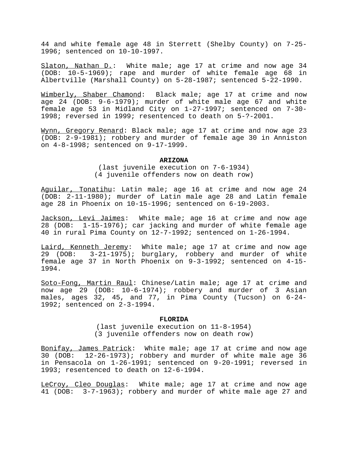44 and white female age 48 in Sterrett (Shelby County) on 7-25- 1996; sentenced on 10-10-1997.

Slaton, Nathan D.: White male; age 17 at crime and now age 34 (DOB: 10-5-1969); rape and murder of white female age 68 in Albertville (Marshall County) on 5-28-1987; sentenced 5-22-1990.

Wimberly, Shaber Chamond: Black male; age 17 at crime and now age 24 (DOB: 9-6-1979); murder of white male age 67 and white female age 53 in Midland City on 1-27-1997; sentenced on 7-30- 1998; reversed in 1999; resentenced to death on 5-?-2001.

Wynn, Gregory Renard: Black male; age 17 at crime and now age 23 (DOB: 2-9-1981); robbery and murder of female age 30 in Anniston on 4-8-1998; sentenced on 9-17-1999.

#### **ARIZONA**

(last juvenile execution on 7-6-1934) (4 juvenile offenders now on death row)

Aguilar, Tonatihu: Latin male; age 16 at crime and now age 24 (DOB: 2-11-1980); murder of Latin male age 28 and Latin female age 28 in Phoenix on 10-15-1996; sentenced on 6-19-2003.

Jackson, Levi Jaimes: White male; age 16 at crime and now age 28 (DOB: 1-15-1976); car jacking and murder of white female age 40 in rural Pima County on 12-7-1992; sentenced on 1-26-1994.

Laird, Kenneth Jeremy: White male; age 17 at crime and now age 29 (DOB: 3-21-1975); burglary, robbery and murder of white female age 37 in North Phoenix on 9-3-1992; sentenced on 4-15- 1994.

Soto-Fong, Martin Raul: Chinese/Latin male; age 17 at crime and now age 29 (DOB: 10-6-1974); robbery and murder of 3 Asian males, ages 32, 45, and 77, in Pima County (Tucson) on 6-24- 1992; sentenced on 2-3-1994.

#### **FLORIDA**

(last juvenile execution on 11-8-1954) (3 juvenile offenders now on death row)

Bonifay, James Patrick: White male; age 17 at crime and now age 30 (DOB: 12-26-1973); robbery and murder of white male age 36 in Pensacola on 1-26-1991; sentenced on 9-20-1991; reversed in 1993; resentenced to death on 12-6-1994.

LeCroy, Cleo Douglas: White male; age 17 at crime and now age 41 (DOB: 3-7-1963); robbery and murder of white male age 27 and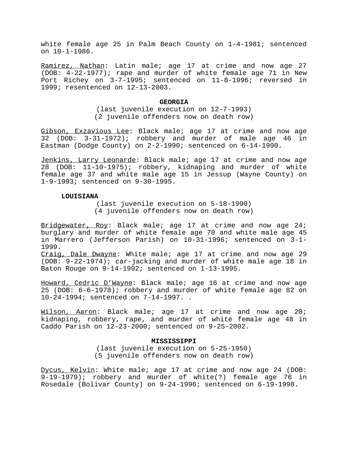white female age 25 in Palm Beach County on 1-4-1981; sentenced on 10-1-1986.

Ramirez, Nathan: Latin male; age 17 at crime and now age 27 (DOB: 4-22-1977); rape and murder of white female age 71 in New Port Richey on 3-7-1995; sentenced on 11-8-1996; reversed in 1999; resentenced on 12-13-2003.

#### **GEORGIA**

(last juvenile execution on 12-7-1993) (2 juvenile offenders now on death row)

Gibson, Exzavious Lee: Black male; age 17 at crime and now age 32 (DOB: 3-31-1972); robbery and murder of male age 46 in Eastman (Dodge County) on 2-2-1990; sentenced on 6-14-1990.

Jenkins, Larry Leonarde: Black male; age 17 at crime and now age 28 (DOB: 11-10-1975); robbery, kidnaping and murder of white female age 37 and white male age 15 in Jessup (Wayne County) on 1-9-1993; sentenced on 9-30-1995.

#### **LOUISIANA**

(last juvenile execution on 5-18-1990) (4 juvenile offenders now on death row)

Bridgewater, Roy: Black male; age 17 at crime and now age 24; burglary and murder of white female age 70 and white male age 45 in Marrero (Jefferson Parish) on 10-31-1996; sentenced on 3-1- 1999.

Craig, Dale Dwayne: White male; age 17 at crime and now age 29 (DOB: 9-22-1974); car-jacking and murder of white male age 18 in Baton Rouge on 9-14-1992; sentenced on 1-13-1995.

Howard, Cedric D'Wayne: Black male; age 16 at crime and now age 25 (DOB: 6-6-1978); robbery and murder of white female age 82 on 10-24-1994; sentenced on 7-14-1997. .

Wilson, Aaron: Black male; age 17 at crime and now age 20; kidnaping, robbery, rape, and murder of white female age 48 in Caddo Parish on 12-23-2000; sentenced on 9-25-2002.

#### **MISSISSIPPI**

(last juvenile execution on 5-25-1950) (5 juvenile offenders now on death row)

Dycus, Kelvin: White male; age 17 at crime and now age 24 (DOB: 9-19-1979); robbery and murder of white(?) female age 76 in Rosedale (Bolivar County) on 9-24-1996; sentenced on 6-19-1998.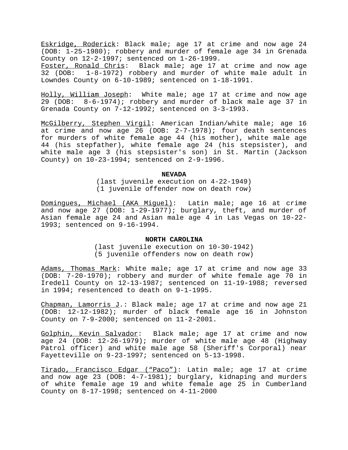Eskridge, Roderick: Black male; age 17 at crime and now age 24 (DOB: 1-25-1980); robbery and murder of female age 34 in Grenada County on 12-2-1997; sentenced on 1-26-1999.<br>Foster, Ronald Chris: Black male; age 17

Black male; age 17 at crime and now age 32 (DOB: 1-8-1972) robbery and murder of white male adult in Lowndes County on 6-10-1989; sentenced on 1-18-1991.

Holly, William Joseph: White male; age 17 at crime and now age 29 (DOB: 8-6-1974); robbery and murder of black male age 37 in Grenada County on 7-12-1992; sentenced on 3-3-1993.

McGilberry, Stephen Virgil: American Indian/white male; age 16 at crime and now age 26 (DOB: 2-7-1978); four death sentences for murders of white female age 44 (his mother), white male age 44 (his stepfather), white female age 24 (his stepsister), and white male age 3 (his stepsister's son) in St. Martin (Jackson County) on 10-23-1994; sentenced on 2-9-1996.

#### **NEVADA**

(last juvenile execution on 4-22-1949) (1 juvenile offender now on death row)

Domingues, Michael (AKA Miguel): Latin male; age 16 at crime and now age 27 (DOB: 1-29-1977); burglary, theft, and murder of Asian female age 24 and Asian male age 4 in Las Vegas on 10-22- 1993; sentenced on 9-16-1994.

#### **NORTH CAROLINA**

(last juvenile execution on 10-30-1942) (5 juvenile offenders now on death row)

Adams, Thomas Mark: White male; age 17 at crime and now age 33 (DOB: 7-20-1970); robbery and murder of white female age 70 in Iredell County on 12-13-1987; sentenced on 11-19-1988; reversed in 1994; resentenced to death on 9-1-1995.

Chapman, Lamorris J.: Black male; age 17 at crime and now age 21 (DOB: 12-12-1982); murder of black female age 16 in Johnston County on 7-9-2000; sentenced on 11-2-2001.

Golphin, Kevin Salvador: Black male; age 17 at crime and now age 24 (DOB: 12-26-1979); murder of white male age 48 (Highway Patrol officer) and white male age 58 (Sheriff's Corporal) near Fayetteville on 9-23-1997; sentenced on 5-13-1998.

Tirado, Francisco Edgar ("Paco"): Latin male; age 17 at crime and now age 23 (DOB: 4-7-1981); burglary, kidnaping and murders of white female age 19 and white female age 25 in Cumberland County on 8-17-1998; sentenced on 4-11-2000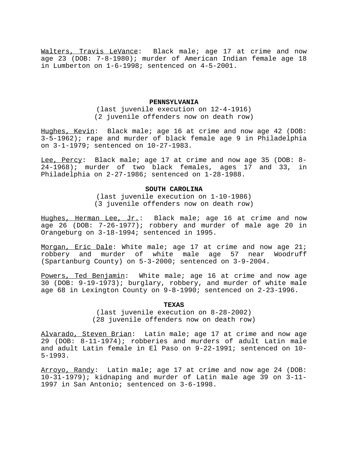Walters, Travis LeVance: Black male; age 17 at crime and now age 23 (DOB: 7-8-1980); murder of American Indian female age 18 in Lumberton on 1-6-1998; sentenced on 4-5-2001.

#### **PENNSYLVANIA**

(last juvenile execution on 12-4-1916) (2 juvenile offenders now on death row)

Hughes, Kevin: Black male; age 16 at crime and now age 42 (DOB: 3-5-1962); rape and murder of black female age 9 in Philadelphia on 3-1-1979; sentenced on 10-27-1983.

Lee, Percy: Black male; age 17 at crime and now age 35 (DOB: 8- 24-1968); murder of two black females, ages 17 and 33, in Philadelphia on 2-27-1986; sentenced on 1-28-1988.

#### **SOUTH CAROLINA**

(last juvenile execution on 1-10-1986) (3 juvenile offenders now on death row)

Hughes, Herman Lee, Jr.: Black male; age 16 at crime and now age 26 (DOB: 7-26-1977); robbery and murder of male age 20 in Orangeburg on 3-18-1994; sentenced in 1995.

Morgan, Eric Dale: White male; age 17 at crime and now age 21; robbery and murder of white male age 57 near Woodruff (Spartanburg County) on 5-3-2000; sentenced on 3-9-2004.

Powers, Ted Benjamin: White male; age 16 at crime and now age 30 (DOB: 9-19-1973); burglary, robbery, and murder of white male age 68 in Lexington County on 9-8-1990; sentenced on 2-23-1996.

#### **TEXAS**

(last juvenile execution on 8-28-2002) (28 juvenile offenders now on death row)

Alvarado, Steven Brian: Latin male; age 17 at crime and now age 29 (DOB: 8-11-1974); robberies and murders of adult Latin male and adult Latin female in El Paso on 9-22-1991; sentenced on 10- 5-1993.

Arroyo, Randy: Latin male; age 17 at crime and now age 24 (DOB: 10-31-1979); kidnaping and murder of Latin male age 39 on 3-11- 1997 in San Antonio; sentenced on 3-6-1998.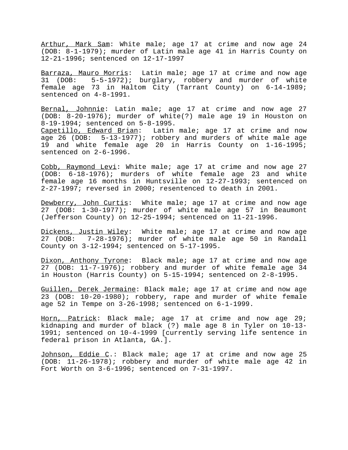Arthur, Mark Sam: White male; age 17 at crime and now age 24 (DOB: 8-1-1979); murder of Latin male age 41 in Harris County on 12-21-1996; sentenced on 12-17-1997

Barraza, Mauro Morris: Latin male; age 17 at crime and now age 31 (DOB: 5-5-1972); burglary, robbery and murder of white female age 73 in Haltom City (Tarrant County) on 6-14-1989; sentenced on 4-8-1991.

Bernal, Johnnie: Latin male; age 17 at crime and now age 27 (DOB: 8-20-1976); murder of white(?) male age 19 in Houston on 8-19-1994; sentenced on 5-8-1995.

Capetillo, Edward Brian: Latin male; age 17 at crime and now age 26 (DOB: 5-13-1977); robbery and murders of white male age 19 and white female age 20 in Harris County on 1-16-1995; sentenced on 2-6-1996.

Cobb, Raymond Levi: White male; age 17 at crime and now age 27 (DOB: 6-18-1976); murders of white female age 23 and white female age 16 months in Huntsville on 12-27-1993; sentenced on 2-27-1997; reversed in 2000; resentenced to death in 2001.

Dewberry, John Curtis: White male; age 17 at crime and now age 27 (DOB: 1-30-1977); murder of white male age 57 in Beaumont (Jefferson County) on 12-25-1994; sentenced on 11-21-1996.

Dickens, Justin Wiley: White male; age 17 at crime and now age 27 (DOB: 7-28-1976); murder of white male age 50 in Randall County on 3-12-1994; sentenced on 5-17-1995.

Dixon, Anthony Tyrone: Black male; age 17 at crime and now age 27 (DOB: 11-7-1976); robbery and murder of white female age 34 in Houston (Harris County) on 5-15-1994; sentenced on 2-8-1995.

Guillen, Derek Jermaine: Black male; age 17 at crime and now age 23 (DOB: 10-20-1980); robbery, rape and murder of white female age 52 in Tempe on 3-26-1998; sentenced on 6-1-1999.

Horn, Patrick: Black male; age 17 at crime and now age 29; kidnaping and murder of black (?) male age 8 in Tyler on 10-13- 1991; sentenced on 10-4-1999 [currently serving life sentence in federal prison in Atlanta, GA.].

Johnson, Eddie C.: Black male; age 17 at crime and now age 25 (DOB: 11-26-1978); robbery and murder of white male age 42 in Fort Worth on 3-6-1996; sentenced on 7-31-1997.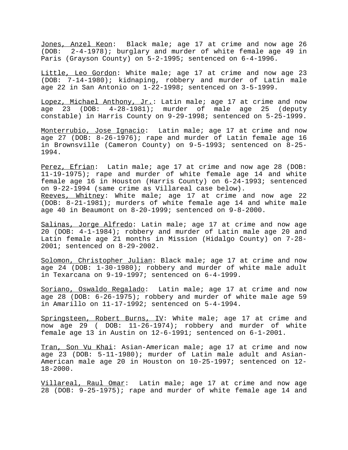Jones, Anzel Keon: Black male; age 17 at crime and now age 26 (DOB: 2-4-1978); burglary and murder of white female age 49 in Paris (Grayson County) on 5-2-1995; sentenced on 6-4-1996.

Little, Leo Gordon: White male; age 17 at crime and now age 23 (DOB: 7-14-1980); kidnaping, robbery and murder of Latin male age 22 in San Antonio on 1-22-1998; sentenced on 3-5-1999.

Lopez, Michael Anthony, Jr.: Latin male; age 17 at crime and now age 23 (DOB: 4-28-1981); murder of male age 25 (deputy constable) in Harris County on 9-29-1998; sentenced on 5-25-1999.

Monterrubio, Jose Ignacio: Latin male; age 17 at crime and now age 27 (DOB: 8-26-1976); rape and murder of Latin female age 16 in Brownsville (Cameron County) on 9-5-1993; sentenced on 8-25- 1994.

Perez, Efrian: Latin male; age 17 at crime and now age 28 (DOB: 11-19-1975); rape and murder of white female age 14 and white female age 16 in Houston (Harris County) on 6-24-1993; sentenced on 9-22-1994 (same crime as Villareal case below). Reeves, Whitney: White male; age 17 at crime and now age 22 (DOB: 8-21-1981); murders of white female age 14 and white male age 40 in Beaumont on 8-20-1999; sentenced on 9-8-2000.

Salinas, Jorge Alfredo: Latin male; age 17 at crime and now age 20 (DOB: 4-1-1984); robbery and murder of Latin male age 20 and Latin female age 21 months in Mission (Hidalgo County) on 7-28- 2001; sentenced on 8-29-2002.

Solomon, Christopher Julian: Black male; age 17 at crime and now age 24 (DOB: 1-30-1980); robbery and murder of white male adult in Texarcana on 9-19-1997; sentenced on 6-4-1999.

Soriano, Oswaldo Regalado: Latin male; age 17 at crime and now age 28 (DOB: 6-26-1975); robbery and murder of white male age 59 in Amarillo on 11-17-1992; sentenced on 5-4-1994.

Springsteen, Robert Burns, IV: White male; age 17 at crime and now age 29 ( DOB: 11-26-1974); robbery and murder of white female age 13 in Austin on 12-6-1991; sentenced on 6-1-2001.

Tran, Son Vu Khai: Asian-American male; age 17 at crime and now age 23 (DOB: 5-11-1980); murder of Latin male adult and Asian-American male age 20 in Houston on 10-25-1997; sentenced on 12- 18-2000.

Villareal, Raul Omar: Latin male; age 17 at crime and now age 28 (DOB: 9-25-1975); rape and murder of white female age 14 and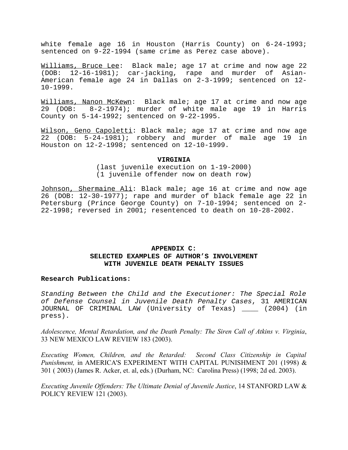white female age 16 in Houston (Harris County) on 6-24-1993; sentenced on 9-22-1994 (same crime as Perez case above).

Williams, Bruce Lee: Black male; age 17 at crime and now age 22 (DOB: 12-16-1981); car-jacking, rape and murder of Asian-American female age 24 in Dallas on 2-3-1999; sentenced on 12- 10-1999.

Williams, Nanon McKewn: Black male; age 17 at crime and now age 29 (DOB: 8-2-1974); murder of white male age 19 in Harris County on 5-14-1992; sentenced on 9-22-1995.

Wilson, Geno Capoletti: Black male; age 17 at crime and now age 22 (DOB: 5-24-1981); robbery and murder of male age 19 in Houston on 12-2-1998; sentenced on 12-10-1999.

#### **VIRGINIA**

(last juvenile execution on 1-19-2000) (1 juvenile offender now on death row)

Johnson, Shermaine Ali: Black male; age 16 at crime and now age 26 (DOB: 12-30-1977); rape and murder of black female age 22 in Petersburg (Prince George County) on 7-10-1994; sentenced on 2- 22-1998; reversed in 2001; resentenced to death on 10-28-2002.

#### **APPENDIX C: SELECTED EXAMPLES OF AUTHOR'S INVOLVEMENT WITH JUVENILE DEATH PENALTY ISSUES**

#### **Research Publications:**

Standing Between the Child and the Executioner: The Special Role of Defense Counsel in Juvenile Death Penalty Cases, 31 AMERICAN JOURNAL OF CRIMINAL LAW (University of Texas) \_\_\_\_ (2004) (in press).

*Adolescence, Mental Retardation, and the Death Penalty: The Siren Call of Atkins v. Virginia*, 33 NEW MEXICO LAW REVIEW 183 (2003).

*Executing Women, Children, and the Retarded: Second Class Citizenship in Capital Punishment,* in AMERICA'S EXPERIMENT WITH CAPITAL PUNISHMENT 201 (1998) & 301 ( 2003) (James R. Acker, et. al, eds.) (Durham, NC: Carolina Press) (1998; 2d ed. 2003).

*Executing Juvenile Offenders: The Ultimate Denial of Juvenile Justice*, 14 STANFORD LAW & POLICY REVIEW 121 (2003).